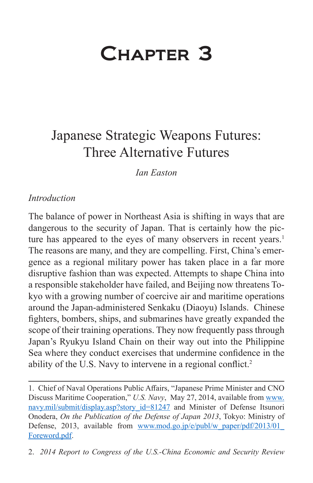# Chapter 3

# Japanese Strategic Weapons Futures: Three Alternative Futures

*Ian Easton*

#### *Introduction*

The balance of power in Northeast Asia is shifting in ways that are dangerous to the security of Japan. That is certainly how the picture has appeared to the eyes of many observers in recent years.<sup>1</sup> The reasons are many, and they are compelling. First, China's emergence as a regional military power has taken place in a far more disruptive fashion than was expected. Attempts to shape China into a responsible stakeholder have failed, and Beijing now threatens Tokyo with a growing number of coercive air and maritime operations around the Japan-administered Senkaku (Diaoyu) Islands. Chinese fighters, bombers, ships, and submarines have greatly expanded the scope of their training operations. They now frequently pass through Japan's Ryukyu Island Chain on their way out into the Philippine Sea where they conduct exercises that undermine confidence in the ability of the U.S. Navy to intervene in a regional conflict.<sup>2</sup>

<sup>1.</sup> Chief of Naval Operations Public Affairs, "Japanese Prime Minister and CNO Discuss Maritime Cooperation," *U.S. Navy*, May 27, 2014, available from [www.](www.navy.mil/submit/display.asp?story_id=81247) [navy.mil/submit/display.asp?story\\_id=81247](www.navy.mil/submit/display.asp?story_id=81247) and Minister of Defense Itsunori Onodera, *On the Publication of the Defense of Japan 2013*, Tokyo: Ministry of Defense, 2013, available from www.mod.go.jp/e/publ/w\_paper/pdf/2013/01 [Foreword.pdf.](www.mod.go.jp/e/publ/w_paper/pdf/2013/01_Foreword.pdf)

<sup>2.</sup> *2014 Report to Congress of the U.S.-China Economic and Security Review*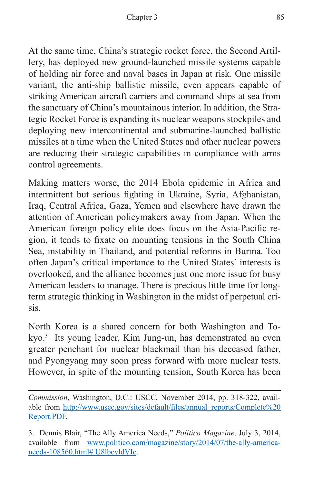At the same time, China's strategic rocket force, the Second Artillery, has deployed new ground-launched missile systems capable of holding air force and naval bases in Japan at risk. One missile variant, the anti-ship ballistic missile, even appears capable of striking American aircraft carriers and command ships at sea from the sanctuary of China's mountainous interior. In addition, the Strategic Rocket Force is expanding its nuclear weapons stockpiles and deploying new intercontinental and submarine-launched ballistic missiles at a time when the United States and other nuclear powers are reducing their strategic capabilities in compliance with arms control agreements.

Making matters worse, the 2014 Ebola epidemic in Africa and intermittent but serious fighting in Ukraine, Syria, Afghanistan, Iraq, Central Africa, Gaza, Yemen and elsewhere have drawn the attention of American policymakers away from Japan. When the American foreign policy elite does focus on the Asia-Pacific region, it tends to fixate on mounting tensions in the South China Sea, instability in Thailand, and potential reforms in Burma. Too often Japan's critical importance to the United States' interests is overlooked, and the alliance becomes just one more issue for busy American leaders to manage. There is precious little time for longterm strategic thinking in Washington in the midst of perpetual crisis.

North Korea is a shared concern for both Washington and Tokyo.3 Its young leader, Kim Jung-un, has demonstrated an even greater penchant for nuclear blackmail than his deceased father, and Pyongyang may soon press forward with more nuclear tests. However, in spite of the mounting tension, South Korea has been

*Commission*, Washington, D.C.: USCC, November 2014, pp. 318-322, available from [http://www.uscc.gov/sites/default/files/annual\\_reports/Complete%20](http://www.uscc.gov/sites/default/files/annual_reports/Complete%20Report.PDF) [Report.PDF](http://www.uscc.gov/sites/default/files/annual_reports/Complete%20Report.PDF).

<sup>3.</sup> Dennis Blair, "The Ally America Needs," *Politico Magazine*, July 3, 2014, available from [www.politico.com/magazine/story/2014/07/the-ally-america](www.politico.com/magazine/story/2014/07/the-ally-america-needs-108560.html#.U8lbcvldVIc)[needs-108560.html#.U8lbcvldVIc.](www.politico.com/magazine/story/2014/07/the-ally-america-needs-108560.html#.U8lbcvldVIc)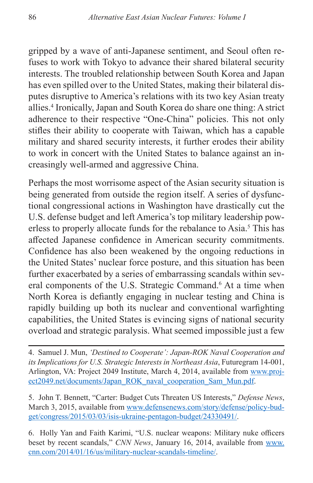gripped by a wave of anti-Japanese sentiment, and Seoul often refuses to work with Tokyo to advance their shared bilateral security interests. The troubled relationship between South Korea and Japan has even spilled over to the United States, making their bilateral disputes disruptive to America's relations with its two key Asian treaty allies.4 Ironically, Japan and South Korea do share one thing: A strict adherence to their respective "One-China" policies. This not only stifles their ability to cooperate with Taiwan, which has a capable military and shared security interests, it further erodes their ability to work in concert with the United States to balance against an increasingly well-armed and aggressive China.

Perhaps the most worrisome aspect of the Asian security situation is being generated from outside the region itself. A series of dysfunctional congressional actions in Washington have drastically cut the U.S. defense budget and left America's top military leadership powerless to properly allocate funds for the rebalance to Asia.<sup>5</sup> This has affected Japanese confidence in American security commitments. Confidence has also been weakened by the ongoing reductions in the United States' nuclear force posture, and this situation has been further exacerbated by a series of embarrassing scandals within several components of the U.S. Strategic Command.<sup>6</sup> At a time when North Korea is defiantly engaging in nuclear testing and China is rapidly building up both its nuclear and conventional warfighting capabilities, the United States is evincing signs of national security overload and strategic paralysis. What seemed impossible just a few

4. Samuel J. Mun, *'Destined to Cooperate': Japan-ROK Naval Cooperation and its Implications for U.S. Strategic Interests in Northeast Asia*, Futuregram 14-001, Arlington, VA: Project 2049 Institute, March 4, 2014, available from [www.proj](www.project2049.net/documents/Japan_ROK_naval_cooperation_Sam_Mun.pdf)[ect2049.net/documents/Japan\\_ROK\\_naval\\_cooperation\\_Sam\\_Mun.pdf](www.project2049.net/documents/Japan_ROK_naval_cooperation_Sam_Mun.pdf).

5. John T. Bennett, "Carter: Budget Cuts Threaten US Interests," *Defense News*, March 3, 2015, available from [www.defensenews.com/story/defense/policy-bud](www.defensenews.com/story/defense/policy-budget/congress/2015/03/03/isis-ukraine-pentagon-budget/24330491/)[get/congress/2015/03/03/isis-ukraine-pentagon-budget/24330491/.](www.defensenews.com/story/defense/policy-budget/congress/2015/03/03/isis-ukraine-pentagon-budget/24330491/)

6. Holly Yan and Faith Karimi, "U.S. nuclear weapons: Military nuke officers beset by recent scandals," *CNN News*, January 16, 2014, available from [www.](www.cnn.com/2014/01/16/us/military-nuclear-scandals-timeline/) [cnn.com/2014/01/16/us/military-nuclear-scandals-timeline/](www.cnn.com/2014/01/16/us/military-nuclear-scandals-timeline/).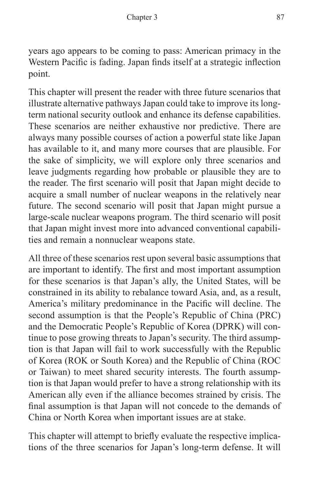years ago appears to be coming to pass: American primacy in the Western Pacific is fading. Japan finds itself at a strategic inflection point.

This chapter will present the reader with three future scenarios that illustrate alternative pathways Japan could take to improve its longterm national security outlook and enhance its defense capabilities. These scenarios are neither exhaustive nor predictive. There are always many possible courses of action a powerful state like Japan has available to it, and many more courses that are plausible. For the sake of simplicity, we will explore only three scenarios and leave judgments regarding how probable or plausible they are to the reader. The first scenario will posit that Japan might decide to acquire a small number of nuclear weapons in the relatively near future. The second scenario will posit that Japan might pursue a large-scale nuclear weapons program. The third scenario will posit that Japan might invest more into advanced conventional capabilities and remain a nonnuclear weapons state.

All three of these scenarios rest upon several basic assumptions that are important to identify. The first and most important assumption for these scenarios is that Japan's ally, the United States, will be constrained in its ability to rebalance toward Asia, and, as a result, America's military predominance in the Pacific will decline. The second assumption is that the People's Republic of China (PRC) and the Democratic People's Republic of Korea (DPRK) will continue to pose growing threats to Japan's security. The third assumption is that Japan will fail to work successfully with the Republic of Korea (ROK or South Korea) and the Republic of China (ROC or Taiwan) to meet shared security interests. The fourth assumption is that Japan would prefer to have a strong relationship with its American ally even if the alliance becomes strained by crisis. The final assumption is that Japan will not concede to the demands of China or North Korea when important issues are at stake.

This chapter will attempt to briefly evaluate the respective implications of the three scenarios for Japan's long-term defense. It will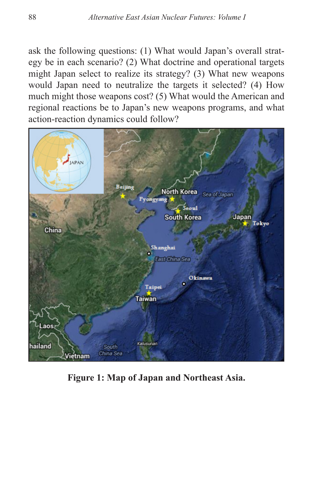ask the following questions: (1) What would Japan's overall strategy be in each scenario? (2) What doctrine and operational targets might Japan select to realize its strategy? (3) What new weapons would Japan need to neutralize the targets it selected? (4) How much might those weapons cost? (5) What would the American and regional reactions be to Japan's new weapons programs, and what action-reaction dynamics could follow?



**Figure 1: Map of Japan and Northeast Asia.**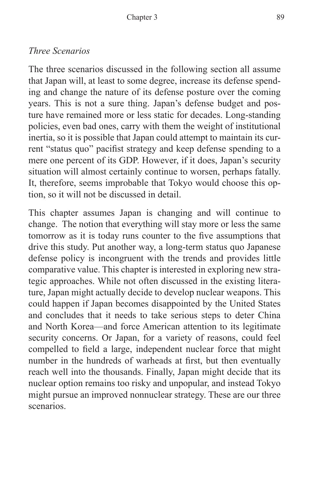## *Three Scenarios*

The three scenarios discussed in the following section all assume that Japan will, at least to some degree, increase its defense spending and change the nature of its defense posture over the coming years. This is not a sure thing. Japan's defense budget and posture have remained more or less static for decades. Long-standing policies, even bad ones, carry with them the weight of institutional inertia, so it is possible that Japan could attempt to maintain its current "status quo" pacifist strategy and keep defense spending to a mere one percent of its GDP. However, if it does, Japan's security situation will almost certainly continue to worsen, perhaps fatally. It, therefore, seems improbable that Tokyo would choose this option, so it will not be discussed in detail.

This chapter assumes Japan is changing and will continue to change. The notion that everything will stay more or less the same tomorrow as it is today runs counter to the five assumptions that drive this study. Put another way, a long-term status quo Japanese defense policy is incongruent with the trends and provides little comparative value. This chapter is interested in exploring new strategic approaches. While not often discussed in the existing literature, Japan might actually decide to develop nuclear weapons. This could happen if Japan becomes disappointed by the United States and concludes that it needs to take serious steps to deter China and North Korea—and force American attention to its legitimate security concerns. Or Japan, for a variety of reasons, could feel compelled to field a large, independent nuclear force that might number in the hundreds of warheads at first, but then eventually reach well into the thousands. Finally, Japan might decide that its nuclear option remains too risky and unpopular, and instead Tokyo might pursue an improved nonnuclear strategy. These are our three scenarios.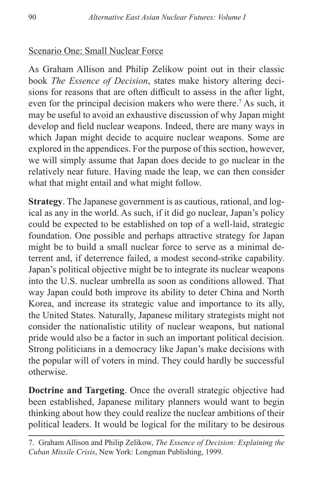### Scenario One: Small Nuclear Force

As Graham Allison and Philip Zelikow point out in their classic book *The Essence of Decision*, states make history altering decisions for reasons that are often difficult to assess in the after light, even for the principal decision makers who were there.<sup>7</sup> As such, it may be useful to avoid an exhaustive discussion of why Japan might develop and field nuclear weapons. Indeed, there are many ways in which Japan might decide to acquire nuclear weapons. Some are explored in the appendices. For the purpose of this section, however, we will simply assume that Japan does decide to go nuclear in the relatively near future. Having made the leap, we can then consider what that might entail and what might follow.

**Strategy**. The Japanese government is as cautious, rational, and logical as any in the world. As such, if it did go nuclear, Japan's policy could be expected to be established on top of a well-laid, strategic foundation. One possible and perhaps attractive strategy for Japan might be to build a small nuclear force to serve as a minimal deterrent and, if deterrence failed, a modest second-strike capability. Japan's political objective might be to integrate its nuclear weapons into the U.S. nuclear umbrella as soon as conditions allowed. That way Japan could both improve its ability to deter China and North Korea, and increase its strategic value and importance to its ally, the United States. Naturally, Japanese military strategists might not consider the nationalistic utility of nuclear weapons, but national pride would also be a factor in such an important political decision. Strong politicians in a democracy like Japan's make decisions with the popular will of voters in mind. They could hardly be successful otherwise.

**Doctrine and Targeting**. Once the overall strategic objective had been established, Japanese military planners would want to begin thinking about how they could realize the nuclear ambitions of their political leaders. It would be logical for the military to be desirous

<sup>7.</sup> Graham Allison and Philip Zelikow, *The Essence of Decision: Explaining the Cuban Missile Crisis*, New York: Longman Publishing, 1999.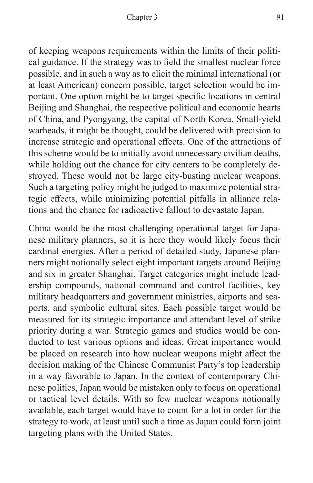of keeping weapons requirements within the limits of their political guidance. If the strategy was to field the smallest nuclear force possible, and in such a way as to elicit the minimal international (or at least American) concern possible, target selection would be important. One option might be to target specific locations in central Beijing and Shanghai, the respective political and economic hearts of China, and Pyongyang, the capital of North Korea. Small-yield warheads, it might be thought, could be delivered with precision to increase strategic and operational effects. One of the attractions of this scheme would be to initially avoid unnecessary civilian deaths, while holding out the chance for city centers to be completely destroyed. These would not be large city-busting nuclear weapons. Such a targeting policy might be judged to maximize potential strategic effects, while minimizing potential pitfalls in alliance relations and the chance for radioactive fallout to devastate Japan.

China would be the most challenging operational target for Japanese military planners, so it is here they would likely focus their cardinal energies. After a period of detailed study, Japanese planners might notionally select eight important targets around Beijing and six in greater Shanghai. Target categories might include leadership compounds, national command and control facilities, key military headquarters and government ministries, airports and seaports, and symbolic cultural sites. Each possible target would be measured for its strategic importance and attendant level of strike priority during a war. Strategic games and studies would be conducted to test various options and ideas. Great importance would be placed on research into how nuclear weapons might affect the decision making of the Chinese Communist Party's top leadership in a way favorable to Japan. In the context of contemporary Chinese politics, Japan would be mistaken only to focus on operational or tactical level details. With so few nuclear weapons notionally available, each target would have to count for a lot in order for the strategy to work, at least until such a time as Japan could form joint targeting plans with the United States.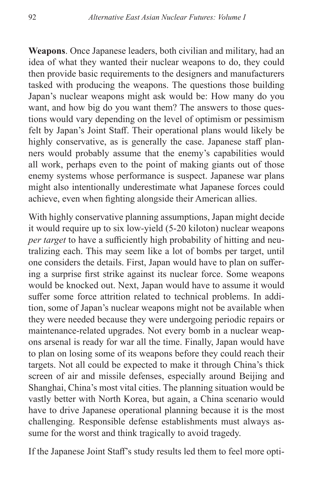**Weapons**. Once Japanese leaders, both civilian and military, had an idea of what they wanted their nuclear weapons to do, they could then provide basic requirements to the designers and manufacturers tasked with producing the weapons. The questions those building Japan's nuclear weapons might ask would be: How many do you want, and how big do you want them? The answers to those questions would vary depending on the level of optimism or pessimism felt by Japan's Joint Staff. Their operational plans would likely be highly conservative, as is generally the case. Japanese staff planners would probably assume that the enemy's capabilities would all work, perhaps even to the point of making giants out of those enemy systems whose performance is suspect. Japanese war plans might also intentionally underestimate what Japanese forces could achieve, even when fighting alongside their American allies.

With highly conservative planning assumptions, Japan might decide it would require up to six low-yield (5-20 kiloton) nuclear weapons *per target* to have a sufficiently high probability of hitting and neutralizing each. This may seem like a lot of bombs per target, until one considers the details. First, Japan would have to plan on suffering a surprise first strike against its nuclear force. Some weapons would be knocked out. Next, Japan would have to assume it would suffer some force attrition related to technical problems. In addition, some of Japan's nuclear weapons might not be available when they were needed because they were undergoing periodic repairs or maintenance-related upgrades. Not every bomb in a nuclear weapons arsenal is ready for war all the time. Finally, Japan would have to plan on losing some of its weapons before they could reach their targets. Not all could be expected to make it through China's thick screen of air and missile defenses, especially around Beijing and Shanghai, China's most vital cities. The planning situation would be vastly better with North Korea, but again, a China scenario would have to drive Japanese operational planning because it is the most challenging. Responsible defense establishments must always assume for the worst and think tragically to avoid tragedy.

If the Japanese Joint Staff's study results led them to feel more opti-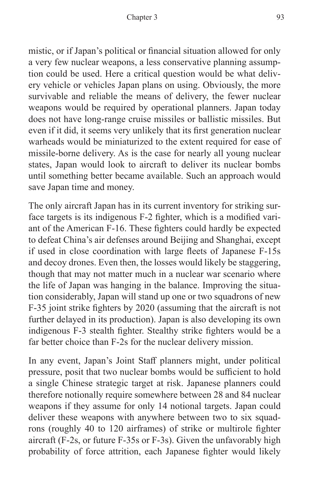mistic, or if Japan's political or financial situation allowed for only a very few nuclear weapons, a less conservative planning assumption could be used. Here a critical question would be what delivery vehicle or vehicles Japan plans on using. Obviously, the more survivable and reliable the means of delivery, the fewer nuclear weapons would be required by operational planners. Japan today does not have long-range cruise missiles or ballistic missiles. But even if it did, it seems very unlikely that its first generation nuclear warheads would be miniaturized to the extent required for ease of missile-borne delivery. As is the case for nearly all young nuclear states, Japan would look to aircraft to deliver its nuclear bombs until something better became available. Such an approach would save Japan time and money.

The only aircraft Japan has in its current inventory for striking surface targets is its indigenous F-2 fighter, which is a modified variant of the American F-16. These fighters could hardly be expected to defeat China's air defenses around Beijing and Shanghai, except if used in close coordination with large fleets of Japanese F-15s and decoy drones. Even then, the losses would likely be staggering, though that may not matter much in a nuclear war scenario where the life of Japan was hanging in the balance. Improving the situation considerably, Japan will stand up one or two squadrons of new F-35 joint strike fighters by 2020 (assuming that the aircraft is not further delayed in its production). Japan is also developing its own indigenous F-3 stealth fighter. Stealthy strike fighters would be a far better choice than F-2s for the nuclear delivery mission.

In any event, Japan's Joint Staff planners might, under political pressure, posit that two nuclear bombs would be sufficient to hold a single Chinese strategic target at risk. Japanese planners could therefore notionally require somewhere between 28 and 84 nuclear weapons if they assume for only 14 notional targets. Japan could deliver these weapons with anywhere between two to six squadrons (roughly 40 to 120 airframes) of strike or multirole fighter aircraft (F-2s, or future F-35s or F-3s). Given the unfavorably high probability of force attrition, each Japanese fighter would likely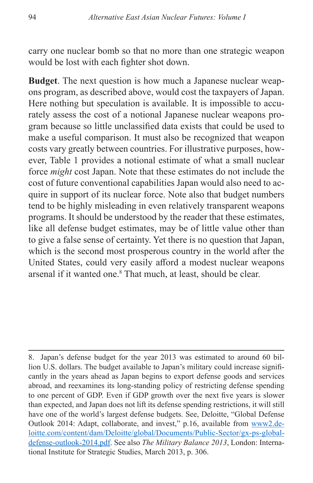carry one nuclear bomb so that no more than one strategic weapon would be lost with each fighter shot down.

**Budget**. The next question is how much a Japanese nuclear weapons program, as described above, would cost the taxpayers of Japan. Here nothing but speculation is available. It is impossible to accurately assess the cost of a notional Japanese nuclear weapons program because so little unclassified data exists that could be used to make a useful comparison. It must also be recognized that weapon costs vary greatly between countries. For illustrative purposes, however, Table 1 provides a notional estimate of what a small nuclear force *might* cost Japan. Note that these estimates do not include the cost of future conventional capabilities Japan would also need to acquire in support of its nuclear force. Note also that budget numbers tend to be highly misleading in even relatively transparent weapons programs. It should be understood by the reader that these estimates, like all defense budget estimates, may be of little value other than to give a false sense of certainty. Yet there is no question that Japan, which is the second most prosperous country in the world after the United States, could very easily afford a modest nuclear weapons arsenal if it wanted one.8 That much, at least, should be clear.

<sup>8.</sup> Japan's defense budget for the year 2013 was estimated to around 60 billion U.S. dollars. The budget available to Japan's military could increase significantly in the years ahead as Japan begins to export defense goods and services abroad, and reexamines its long-standing policy of restricting defense spending to one percent of GDP. Even if GDP growth over the next five years is slower than expected, and Japan does not lift its defense spending restrictions, it will still have one of the world's largest defense budgets. See, Deloitte, "Global Defense Outlook 2014: Adapt, collaborate, and invest," p.16, available from [www2.de](www2.deloitte.com/content/dam/Deloitte/global/Documents/Public-Sector/gx-ps-global-defense-outlook-2014.pdf)[loitte.com/content/dam/Deloitte/global/Documents/Public-Sector/gx-ps-global](www2.deloitte.com/content/dam/Deloitte/global/Documents/Public-Sector/gx-ps-global-defense-outlook-2014.pdf)[defense-outlook-2014.pdf.](www2.deloitte.com/content/dam/Deloitte/global/Documents/Public-Sector/gx-ps-global-defense-outlook-2014.pdf) See also *The Military Balance 2013*, London: International Institute for Strategic Studies, March 2013, p. 306.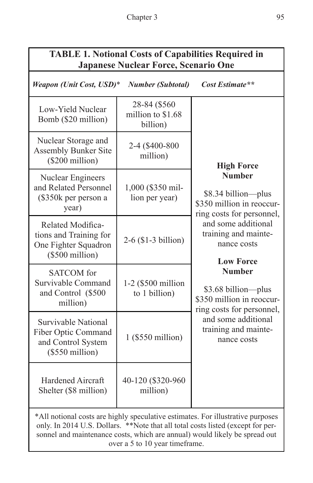## **TABLE 1. Notional Costs of Capabilities Required in Japanese Nuclear Force, Scenario One**

| Weapon (Unit Cost, USD)*                                                                                                                                           | <b>Number (Subtotal)</b>                       | Cost Estimate**                                                                                                                                                                                                                                                                                                                                  |  |
|--------------------------------------------------------------------------------------------------------------------------------------------------------------------|------------------------------------------------|--------------------------------------------------------------------------------------------------------------------------------------------------------------------------------------------------------------------------------------------------------------------------------------------------------------------------------------------------|--|
| Low-Yield Nuclear<br>Bomb (\$20 million)                                                                                                                           | 28-84 (\$560)<br>million to \$1.68<br>billion) |                                                                                                                                                                                                                                                                                                                                                  |  |
| Nuclear Storage and<br><b>Assembly Bunker Site</b><br>$(\$200$ million)                                                                                            | 2-4 (\$400-800<br>million)                     | <b>High Force</b>                                                                                                                                                                                                                                                                                                                                |  |
| <b>Nuclear Engineers</b><br>and Related Personnel<br>(\$350k per person a<br>year)                                                                                 | 1,000 (\$350 mil-<br>lion per year)            | <b>Number</b><br>\$8.34 billion-plus<br>\$350 million in reoccur-<br>ring costs for personnel,<br>and some additional<br>training and mainte-<br>nance costs<br><b>Low Force</b><br><b>Number</b><br>\$3.68 billion—plus<br>\$350 million in reoccur-<br>ring costs for personnel,<br>and some additional<br>training and mainte-<br>nance costs |  |
| Related Modifica-<br>tions and Training for<br>One Fighter Squadron<br>$(\$500$ million)                                                                           | 2-6 (\$1-3 billion)                            |                                                                                                                                                                                                                                                                                                                                                  |  |
| <b>SATCOM</b> for<br>Survivable Command<br>and Control (\$500<br>million)                                                                                          | 1-2 (\$500 million<br>to 1 billion)            |                                                                                                                                                                                                                                                                                                                                                  |  |
| Survivable National<br>Fiber Optic Command<br>and Control System<br>$($550$ million)                                                                               | 1 (\$550 million)                              |                                                                                                                                                                                                                                                                                                                                                  |  |
| <b>Hardened Aircraft</b><br>Shelter (\$8 million)                                                                                                                  | 40-120 (\$320-960<br>million)                  |                                                                                                                                                                                                                                                                                                                                                  |  |
| *All notional costs are highly speculative estimates. For illustrative purposes<br>only. In 2014 U.S. Dollars. **Note that all total costs listed (except for per- |                                                |                                                                                                                                                                                                                                                                                                                                                  |  |

only. In 2014 U.S. Dollars. \*\*Note that all total costs listed (except for personnel and maintenance costs, which are annual) would likely be spread out over a 5 to 10 year timeframe.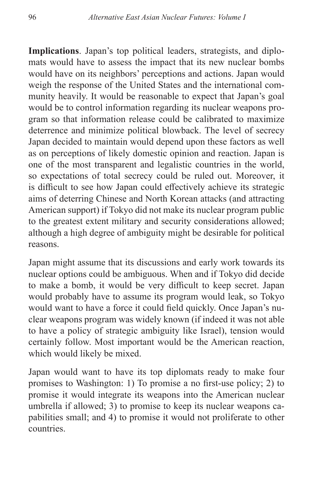**Implications**. Japan's top political leaders, strategists, and diplomats would have to assess the impact that its new nuclear bombs would have on its neighbors' perceptions and actions. Japan would weigh the response of the United States and the international community heavily. It would be reasonable to expect that Japan's goal would be to control information regarding its nuclear weapons program so that information release could be calibrated to maximize deterrence and minimize political blowback. The level of secrecy Japan decided to maintain would depend upon these factors as well as on perceptions of likely domestic opinion and reaction. Japan is one of the most transparent and legalistic countries in the world, so expectations of total secrecy could be ruled out. Moreover, it is difficult to see how Japan could effectively achieve its strategic aims of deterring Chinese and North Korean attacks (and attracting American support) if Tokyo did not make its nuclear program public to the greatest extent military and security considerations allowed; although a high degree of ambiguity might be desirable for political reasons.

Japan might assume that its discussions and early work towards its nuclear options could be ambiguous. When and if Tokyo did decide to make a bomb, it would be very difficult to keep secret. Japan would probably have to assume its program would leak, so Tokyo would want to have a force it could field quickly. Once Japan's nuclear weapons program was widely known (if indeed it was not able to have a policy of strategic ambiguity like Israel), tension would certainly follow. Most important would be the American reaction, which would likely be mixed.

Japan would want to have its top diplomats ready to make four promises to Washington: 1) To promise a no first-use policy; 2) to promise it would integrate its weapons into the American nuclear umbrella if allowed; 3) to promise to keep its nuclear weapons capabilities small; and 4) to promise it would not proliferate to other countries.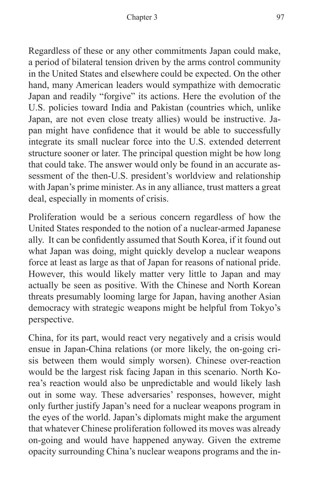Regardless of these or any other commitments Japan could make, a period of bilateral tension driven by the arms control community in the United States and elsewhere could be expected. On the other hand, many American leaders would sympathize with democratic Japan and readily "forgive" its actions. Here the evolution of the U.S. policies toward India and Pakistan (countries which, unlike Japan, are not even close treaty allies) would be instructive. Japan might have confidence that it would be able to successfully integrate its small nuclear force into the U.S. extended deterrent structure sooner or later. The principal question might be how long that could take. The answer would only be found in an accurate assessment of the then-U.S. president's worldview and relationship with Japan's prime minister. As in any alliance, trust matters a great deal, especially in moments of crisis.

Proliferation would be a serious concern regardless of how the United States responded to the notion of a nuclear-armed Japanese ally. It can be confidently assumed that South Korea, if it found out what Japan was doing, might quickly develop a nuclear weapons force at least as large as that of Japan for reasons of national pride. However, this would likely matter very little to Japan and may actually be seen as positive. With the Chinese and North Korean threats presumably looming large for Japan, having another Asian democracy with strategic weapons might be helpful from Tokyo's perspective.

China, for its part, would react very negatively and a crisis would ensue in Japan-China relations (or more likely, the on-going crisis between them would simply worsen). Chinese over-reaction would be the largest risk facing Japan in this scenario. North Korea's reaction would also be unpredictable and would likely lash out in some way. These adversaries' responses, however, might only further justify Japan's need for a nuclear weapons program in the eyes of the world. Japan's diplomats might make the argument that whatever Chinese proliferation followed its moves was already on-going and would have happened anyway. Given the extreme opacity surrounding China's nuclear weapons programs and the in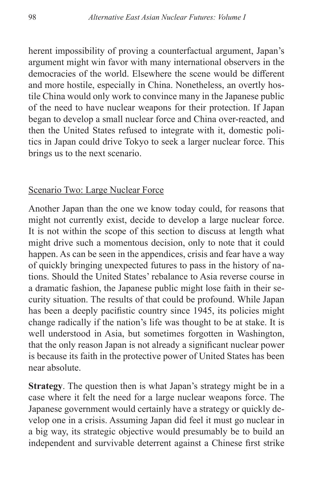herent impossibility of proving a counterfactual argument, Japan's argument might win favor with many international observers in the democracies of the world. Elsewhere the scene would be different and more hostile, especially in China. Nonetheless, an overtly hostile China would only work to convince many in the Japanese public of the need to have nuclear weapons for their protection. If Japan began to develop a small nuclear force and China over-reacted, and then the United States refused to integrate with it, domestic politics in Japan could drive Tokyo to seek a larger nuclear force. This brings us to the next scenario.

#### Scenario Two: Large Nuclear Force

Another Japan than the one we know today could, for reasons that might not currently exist, decide to develop a large nuclear force. It is not within the scope of this section to discuss at length what might drive such a momentous decision, only to note that it could happen. As can be seen in the appendices, crisis and fear have a way of quickly bringing unexpected futures to pass in the history of nations. Should the United States' rebalance to Asia reverse course in a dramatic fashion, the Japanese public might lose faith in their security situation. The results of that could be profound. While Japan has been a deeply pacifistic country since 1945, its policies might change radically if the nation's life was thought to be at stake. It is well understood in Asia, but sometimes forgotten in Washington, that the only reason Japan is not already a significant nuclear power is because its faith in the protective power of United States has been near absolute.

**Strategy**. The question then is what Japan's strategy might be in a case where it felt the need for a large nuclear weapons force. The Japanese government would certainly have a strategy or quickly develop one in a crisis. Assuming Japan did feel it must go nuclear in a big way, its strategic objective would presumably be to build an independent and survivable deterrent against a Chinese first strike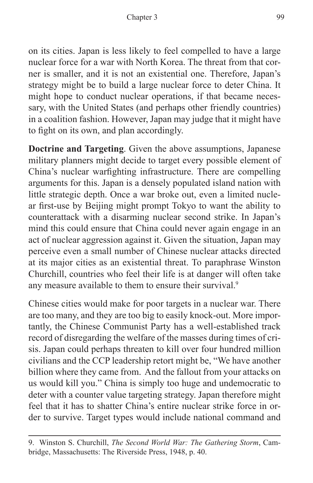on its cities. Japan is less likely to feel compelled to have a large nuclear force for a war with North Korea. The threat from that corner is smaller, and it is not an existential one. Therefore, Japan's strategy might be to build a large nuclear force to deter China. It might hope to conduct nuclear operations, if that became necessary, with the United States (and perhaps other friendly countries) in a coalition fashion. However, Japan may judge that it might have to fight on its own, and plan accordingly.

**Doctrine and Targeting**. Given the above assumptions, Japanese military planners might decide to target every possible element of China's nuclear warfighting infrastructure. There are compelling arguments for this. Japan is a densely populated island nation with little strategic depth. Once a war broke out, even a limited nuclear first-use by Beijing might prompt Tokyo to want the ability to counterattack with a disarming nuclear second strike. In Japan's mind this could ensure that China could never again engage in an act of nuclear aggression against it. Given the situation, Japan may perceive even a small number of Chinese nuclear attacks directed at its major cities as an existential threat. To paraphrase Winston Churchill, countries who feel their life is at danger will often take any measure available to them to ensure their survival.<sup>9</sup>

Chinese cities would make for poor targets in a nuclear war. There are too many, and they are too big to easily knock-out. More importantly, the Chinese Communist Party has a well-established track record of disregarding the welfare of the masses during times of crisis. Japan could perhaps threaten to kill over four hundred million civilians and the CCP leadership retort might be, "We have another billion where they came from. And the fallout from your attacks on us would kill you." China is simply too huge and undemocratic to deter with a counter value targeting strategy. Japan therefore might feel that it has to shatter China's entire nuclear strike force in order to survive. Target types would include national command and

<sup>9.</sup> Winston S. Churchill, *The Second World War: The Gathering Storm*, Cambridge, Massachusetts: The Riverside Press, 1948, p. 40.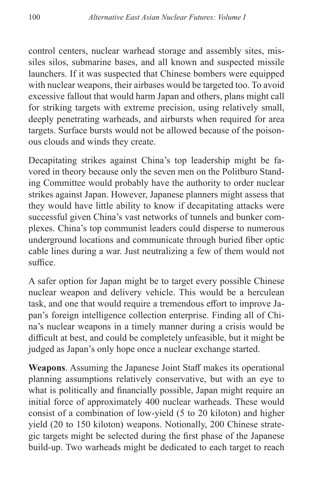control centers, nuclear warhead storage and assembly sites, missiles silos, submarine bases, and all known and suspected missile launchers. If it was suspected that Chinese bombers were equipped with nuclear weapons, their airbases would be targeted too. To avoid excessive fallout that would harm Japan and others, plans might call for striking targets with extreme precision, using relatively small, deeply penetrating warheads, and airbursts when required for area targets. Surface bursts would not be allowed because of the poisonous clouds and winds they create.

Decapitating strikes against China's top leadership might be favored in theory because only the seven men on the Politburo Standing Committee would probably have the authority to order nuclear strikes against Japan. However, Japanese planners might assess that they would have little ability to know if decapitating attacks were successful given China's vast networks of tunnels and bunker complexes. China's top communist leaders could disperse to numerous underground locations and communicate through buried fiber optic cable lines during a war. Just neutralizing a few of them would not suffice.

A safer option for Japan might be to target every possible Chinese nuclear weapon and delivery vehicle. This would be a herculean task, and one that would require a tremendous effort to improve Japan's foreign intelligence collection enterprise. Finding all of China's nuclear weapons in a timely manner during a crisis would be difficult at best, and could be completely unfeasible, but it might be judged as Japan's only hope once a nuclear exchange started.

**Weapons**. Assuming the Japanese Joint Staff makes its operational planning assumptions relatively conservative, but with an eye to what is politically and financially possible, Japan might require an initial force of approximately 400 nuclear warheads. These would consist of a combination of low-yield (5 to 20 kiloton) and higher yield (20 to 150 kiloton) weapons. Notionally, 200 Chinese strategic targets might be selected during the first phase of the Japanese build-up. Two warheads might be dedicated to each target to reach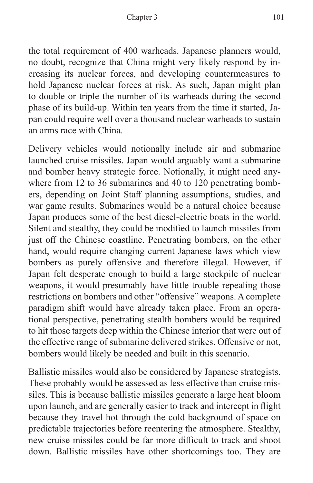the total requirement of 400 warheads. Japanese planners would, no doubt, recognize that China might very likely respond by increasing its nuclear forces, and developing countermeasures to hold Japanese nuclear forces at risk. As such, Japan might plan to double or triple the number of its warheads during the second phase of its build-up. Within ten years from the time it started, Japan could require well over a thousand nuclear warheads to sustain an arms race with China.

Delivery vehicles would notionally include air and submarine launched cruise missiles. Japan would arguably want a submarine and bomber heavy strategic force. Notionally, it might need anywhere from 12 to 36 submarines and 40 to 120 penetrating bombers, depending on Joint Staff planning assumptions, studies, and war game results. Submarines would be a natural choice because Japan produces some of the best diesel-electric boats in the world. Silent and stealthy, they could be modified to launch missiles from just off the Chinese coastline. Penetrating bombers, on the other hand, would require changing current Japanese laws which view bombers as purely offensive and therefore illegal. However, if Japan felt desperate enough to build a large stockpile of nuclear weapons, it would presumably have little trouble repealing those restrictions on bombers and other "offensive" weapons. A complete paradigm shift would have already taken place. From an operational perspective, penetrating stealth bombers would be required to hit those targets deep within the Chinese interior that were out of the effective range of submarine delivered strikes. Offensive or not, bombers would likely be needed and built in this scenario.

Ballistic missiles would also be considered by Japanese strategists. These probably would be assessed as less effective than cruise missiles. This is because ballistic missiles generate a large heat bloom upon launch, and are generally easier to track and intercept in flight because they travel hot through the cold background of space on predictable trajectories before reentering the atmosphere. Stealthy, new cruise missiles could be far more difficult to track and shoot down. Ballistic missiles have other shortcomings too. They are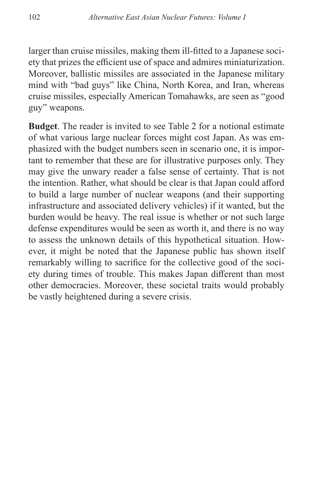larger than cruise missiles, making them ill-fitted to a Japanese society that prizes the efficient use of space and admires miniaturization. Moreover, ballistic missiles are associated in the Japanese military mind with "bad guys" like China, North Korea, and Iran, whereas cruise missiles, especially American Tomahawks, are seen as "good guy" weapons.

**Budget**. The reader is invited to see Table 2 for a notional estimate of what various large nuclear forces might cost Japan. As was emphasized with the budget numbers seen in scenario one, it is important to remember that these are for illustrative purposes only. They may give the unwary reader a false sense of certainty. That is not the intention. Rather, what should be clear is that Japan could afford to build a large number of nuclear weapons (and their supporting infrastructure and associated delivery vehicles) if it wanted, but the burden would be heavy. The real issue is whether or not such large defense expenditures would be seen as worth it, and there is no way to assess the unknown details of this hypothetical situation. However, it might be noted that the Japanese public has shown itself remarkably willing to sacrifice for the collective good of the society during times of trouble. This makes Japan different than most other democracies. Moreover, these societal traits would probably be vastly heightened during a severe crisis.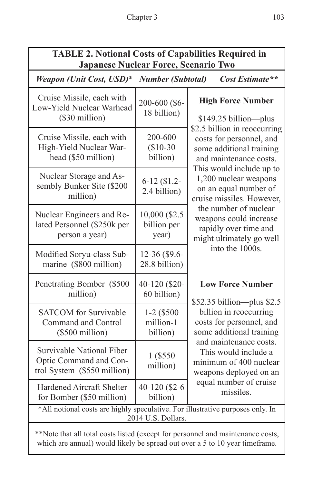## **TABLE 2. Notional Costs of Capabilities Required in Japanese Nuclear Force, Scenario Two**

*Weapon (Unit Cost, USD)*\* *Number (Subtotal) Cost Estimate\*\** 

| Cruise Missile, each with<br>Low-Yield Nuclear Warhead<br>(\$30 million)                             | 200-600 (\$6-<br>18 billion)           | <b>High Force Number</b><br>$$149.25 billion$ plus                                                                                                                                                                                                                                                                                |  |  |
|------------------------------------------------------------------------------------------------------|----------------------------------------|-----------------------------------------------------------------------------------------------------------------------------------------------------------------------------------------------------------------------------------------------------------------------------------------------------------------------------------|--|--|
| Cruise Missile, each with<br>High-Yield Nuclear War-<br>head (\$50 million)                          | 200-600<br>$$10-30$<br>billion)        | \$2.5 billion in reoccurring<br>costs for personnel, and<br>some additional training<br>and maintenance costs.<br>This would include up to<br>1,200 nuclear weapons<br>on an equal number of<br>cruise missiles. However,<br>the number of nuclear<br>weapons could increase<br>rapidly over time and<br>might ultimately go well |  |  |
| Nuclear Storage and As-<br>sembly Bunker Site (\$200<br>million)                                     | $6-12$ (\$1.2-<br>2.4 billion)         |                                                                                                                                                                                                                                                                                                                                   |  |  |
| Nuclear Engineers and Re-<br>lated Personnel (\$250k per<br>person a year)                           | 10,000 (\$2.5<br>billion per<br>year)  |                                                                                                                                                                                                                                                                                                                                   |  |  |
| Modified Soryu-class Sub-<br>marine (\$800 million)                                                  | 12-36 (\$9.6-<br>28.8 billion)         | into the 1000s.                                                                                                                                                                                                                                                                                                                   |  |  |
| Penetrating Bomber (\$500)<br>million)                                                               | 40-120 (\$20-<br>60 billion)           | <b>Low Force Number</b><br>$$52.35$ billion--plus \$2.5                                                                                                                                                                                                                                                                           |  |  |
| <b>SATCOM</b> for Survivable<br>Command and Control<br>$(\$500$ million)                             | $1-2$ (\$500)<br>million-1<br>billion) | billion in reoccurring<br>costs for personnel, and<br>some additional training                                                                                                                                                                                                                                                    |  |  |
| Survivable National Fiber<br>Optic Command and Con-<br>trol System (\$550 million)                   | 1 (\$550)<br>million)                  | and maintenance costs.<br>This would include a<br>minimum of 400 nuclear<br>weapons deployed on an<br>equal number of cruise<br>missiles.                                                                                                                                                                                         |  |  |
| <b>Hardened Aircraft Shelter</b><br>for Bomber (\$50 million)                                        | 40-120 (\$2-6<br>billion)              |                                                                                                                                                                                                                                                                                                                                   |  |  |
| *All notional costs are highly speculative. For illustrative purposes only. In<br>2014 U.S. Dollars. |                                        |                                                                                                                                                                                                                                                                                                                                   |  |  |

\*\*Note that all total costs listed (except for personnel and maintenance costs, which are annual) would likely be spread out over a 5 to 10 year timeframe.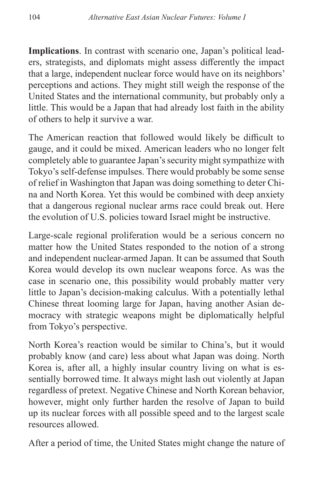**Implications**. In contrast with scenario one, Japan's political leaders, strategists, and diplomats might assess differently the impact that a large, independent nuclear force would have on its neighbors' perceptions and actions. They might still weigh the response of the United States and the international community, but probably only a little. This would be a Japan that had already lost faith in the ability of others to help it survive a war.

The American reaction that followed would likely be difficult to gauge, and it could be mixed. American leaders who no longer felt completely able to guarantee Japan's security might sympathize with Tokyo's self-defense impulses. There would probably be some sense of relief in Washington that Japan was doing something to deter China and North Korea. Yet this would be combined with deep anxiety that a dangerous regional nuclear arms race could break out. Here the evolution of U.S. policies toward Israel might be instructive.

Large-scale regional proliferation would be a serious concern no matter how the United States responded to the notion of a strong and independent nuclear-armed Japan. It can be assumed that South Korea would develop its own nuclear weapons force. As was the case in scenario one, this possibility would probably matter very little to Japan's decision-making calculus. With a potentially lethal Chinese threat looming large for Japan, having another Asian democracy with strategic weapons might be diplomatically helpful from Tokyo's perspective.

North Korea's reaction would be similar to China's, but it would probably know (and care) less about what Japan was doing. North Korea is, after all, a highly insular country living on what is essentially borrowed time. It always might lash out violently at Japan regardless of pretext. Negative Chinese and North Korean behavior, however, might only further harden the resolve of Japan to build up its nuclear forces with all possible speed and to the largest scale resources allowed.

After a period of time, the United States might change the nature of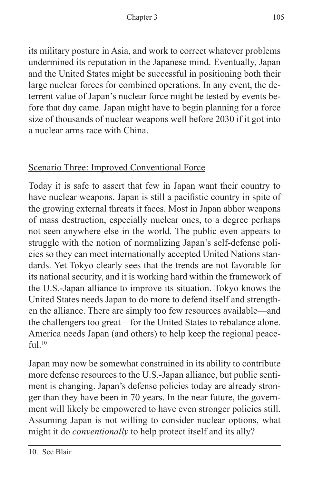its military posture in Asia, and work to correct whatever problems undermined its reputation in the Japanese mind. Eventually, Japan and the United States might be successful in positioning both their large nuclear forces for combined operations. In any event, the deterrent value of Japan's nuclear force might be tested by events before that day came. Japan might have to begin planning for a force size of thousands of nuclear weapons well before 2030 if it got into a nuclear arms race with China.

## Scenario Three: Improved Conventional Force

Today it is safe to assert that few in Japan want their country to have nuclear weapons. Japan is still a pacifistic country in spite of the growing external threats it faces. Most in Japan abhor weapons of mass destruction, especially nuclear ones, to a degree perhaps not seen anywhere else in the world. The public even appears to struggle with the notion of normalizing Japan's self-defense policies so they can meet internationally accepted United Nations standards. Yet Tokyo clearly sees that the trends are not favorable for its national security, and it is working hard within the framework of the U.S.-Japan alliance to improve its situation. Tokyo knows the United States needs Japan to do more to defend itself and strengthen the alliance. There are simply too few resources available—and the challengers too great—for the United States to rebalance alone. America needs Japan (and others) to help keep the regional peace $f_{11}$  $10$ 

Japan may now be somewhat constrained in its ability to contribute more defense resources to the U.S.-Japan alliance, but public sentiment is changing. Japan's defense policies today are already stronger than they have been in 70 years. In the near future, the government will likely be empowered to have even stronger policies still. Assuming Japan is not willing to consider nuclear options, what might it do *conventionally* to help protect itself and its ally?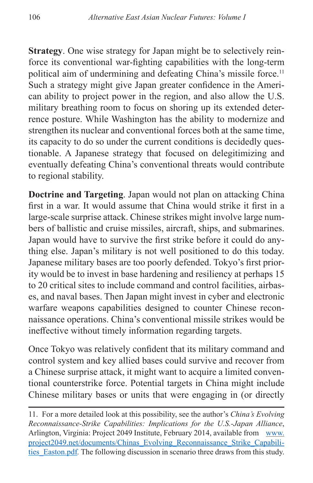**Strategy**. One wise strategy for Japan might be to selectively reinforce its conventional war-fighting capabilities with the long-term political aim of undermining and defeating China's missile force.<sup>11</sup> Such a strategy might give Japan greater confidence in the American ability to project power in the region, and also allow the U.S. military breathing room to focus on shoring up its extended deterrence posture. While Washington has the ability to modernize and strengthen its nuclear and conventional forces both at the same time, its capacity to do so under the current conditions is decidedly questionable. A Japanese strategy that focused on delegitimizing and eventually defeating China's conventional threats would contribute to regional stability.

**Doctrine and Targeting**. Japan would not plan on attacking China first in a war. It would assume that China would strike it first in a large-scale surprise attack. Chinese strikes might involve large numbers of ballistic and cruise missiles, aircraft, ships, and submarines. Japan would have to survive the first strike before it could do anything else. Japan's military is not well positioned to do this today. Japanese military bases are too poorly defended. Tokyo's first priority would be to invest in base hardening and resiliency at perhaps 15 to 20 critical sites to include command and control facilities, airbases, and naval bases. Then Japan might invest in cyber and electronic warfare weapons capabilities designed to counter Chinese reconnaissance operations. China's conventional missile strikes would be ineffective without timely information regarding targets.

Once Tokyo was relatively confident that its military command and control system and key allied bases could survive and recover from a Chinese surprise attack, it might want to acquire a limited conventional counterstrike force. Potential targets in China might include Chinese military bases or units that were engaging in (or directly

<sup>11.</sup> For a more detailed look at this possibility, see the author's *China's Evolving Reconnaissance-Strike Capabilities: Implications for the U.S.-Japan Alliance*, Arlington, Virginia: Project 2049 Institute, February 2014, available from [www.](www.project2049.net/documents/Chinas_Evolving_Reconnaissance_Strike_Capabilities_Easton.pdf) [project2049.net/documents/Chinas\\_Evolving\\_Reconnaissance\\_Strike\\_Capabili](www.project2049.net/documents/Chinas_Evolving_Reconnaissance_Strike_Capabilities_Easton.pdf)[ties\\_Easton.pdf](www.project2049.net/documents/Chinas_Evolving_Reconnaissance_Strike_Capabilities_Easton.pdf)*.* The following discussion in scenario three draws from this study.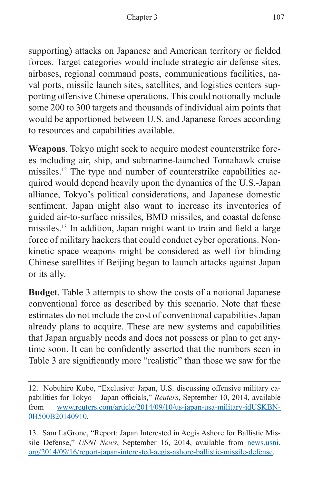supporting) attacks on Japanese and American territory or fielded forces. Target categories would include strategic air defense sites, airbases, regional command posts, communications facilities, naval ports, missile launch sites, satellites, and logistics centers supporting offensive Chinese operations. This could notionally include some 200 to 300 targets and thousands of individual aim points that would be apportioned between U.S. and Japanese forces according to resources and capabilities available.

**Weapons**. Tokyo might seek to acquire modest counterstrike forces including air, ship, and submarine-launched Tomahawk cruise missiles.12 The type and number of counterstrike capabilities acquired would depend heavily upon the dynamics of the U.S.-Japan alliance, Tokyo's political considerations, and Japanese domestic sentiment. Japan might also want to increase its inventories of guided air-to-surface missiles, BMD missiles, and coastal defense missiles.13 In addition, Japan might want to train and field a large force of military hackers that could conduct cyber operations. Nonkinetic space weapons might be considered as well for blinding Chinese satellites if Beijing began to launch attacks against Japan or its ally.

**Budget**. Table 3 attempts to show the costs of a notional Japanese conventional force as described by this scenario. Note that these estimates do not include the cost of conventional capabilities Japan already plans to acquire. These are new systems and capabilities that Japan arguably needs and does not possess or plan to get anytime soon. It can be confidently asserted that the numbers seen in Table 3 are significantly more "realistic" than those we saw for the

<sup>12.</sup> Nobuhiro Kubo, "Exclusive: Japan, U.S. discussing offensive military capabilities for Tokyo – Japan officials," *Reuters*, September 10, 2014, available from [www.reuters.com/article/2014/09/10/us-japan-usa-military-idUSKBN-](www.reuters.com/article/2014/09/10/us-japan-usa-military-idUSKBN0H500B20140910)[0H500B20140910.](www.reuters.com/article/2014/09/10/us-japan-usa-military-idUSKBN0H500B20140910)

<sup>13.</sup> Sam LaGrone, "Report: Japan Interested in Aegis Ashore for Ballistic Missile Defense," *USNI News*, September 16, 2014, available from [news.usni.](news.usni.org/2014/09/16/report-japan-interested-aegis-ashore-ballistic-missile-defense) [org/2014/09/16/report-japan-interested-aegis-ashore-ballistic-missile-defense](news.usni.org/2014/09/16/report-japan-interested-aegis-ashore-ballistic-missile-defense).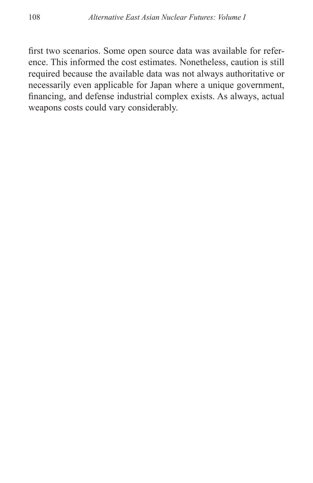first two scenarios. Some open source data was available for reference. This informed the cost estimates. Nonetheless, caution is still required because the available data was not always authoritative or necessarily even applicable for Japan where a unique government, financing, and defense industrial complex exists. As always, actual weapons costs could vary considerably.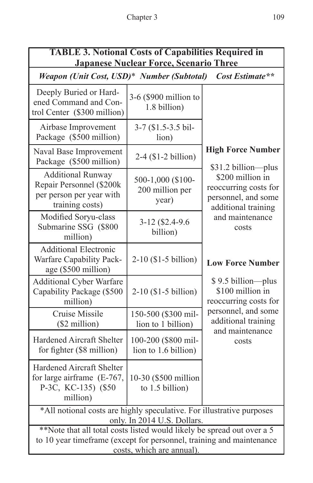| <b>TABLE 3. Notional Costs of Capabilities Required in</b><br><b>Japanese Nuclear Force, Scenario Three</b>                                                                |                                               |                                                                                                                                            |  |  |
|----------------------------------------------------------------------------------------------------------------------------------------------------------------------------|-----------------------------------------------|--------------------------------------------------------------------------------------------------------------------------------------------|--|--|
| Cost Estimate**<br>Weapon (Unit Cost, USD)* Number (Subtotal)                                                                                                              |                                               |                                                                                                                                            |  |  |
| Deeply Buried or Hard-<br>ened Command and Con-<br>trol Center (\$300 million)                                                                                             | 3-6 (\$900 million to<br>1.8 billion)         |                                                                                                                                            |  |  |
| Airbase Improvement<br>Package (\$500 million)                                                                                                                             | 3-7 (\$1.5-3.5 bil-<br>lion)                  |                                                                                                                                            |  |  |
| Naval Base Improvement<br>Package (\$500 million)                                                                                                                          | $2-4$ (\$1-2 billion)                         | <b>High Force Number</b><br>\$31.2 billion-plus<br>\$200 million in<br>reoccurring costs for<br>personnel, and some<br>additional training |  |  |
| <b>Additional Runway</b><br>Repair Personnel (\$200k<br>per person per year with<br>training costs)                                                                        | 500-1,000 (\$100-<br>200 million per<br>year) |                                                                                                                                            |  |  |
| Modified Soryu-class<br>Submarine SSG (\$800<br>million)                                                                                                                   | 3-12 (\$2.4-9.6)<br>billion)                  | and maintenance<br>costs                                                                                                                   |  |  |
| <b>Additional Electronic</b><br>Warfare Capability Pack-<br>age (\$500 million)                                                                                            | $2-10$ (\$1-5 billion)                        | <b>Low Force Number</b>                                                                                                                    |  |  |
| <b>Additional Cyber Warfare</b><br>Capability Package (\$500<br>million)                                                                                                   | $2-10$ (\$1-5 billion)                        | \$9.5 billion-plus<br>\$100 million in<br>reoccurring costs for                                                                            |  |  |
| Cruise Missile<br>(\$2 million)                                                                                                                                            | 150-500 (\$300 mil-<br>lion to 1 billion)     | personnel, and some<br>additional training<br>and maintenance                                                                              |  |  |
| Hardened Aircraft Shelter<br>for fighter (\$8 million)                                                                                                                     | 100-200 (\$800 mil-<br>lion to 1.6 billion)   | costs                                                                                                                                      |  |  |
| Hardened Aircraft Shelter<br>for large airframe (E-767,<br>P-3C, KC-135) (\$50<br>million)                                                                                 | 10-30 (\$500 million<br>to 1.5 billion)       |                                                                                                                                            |  |  |
| *All notional costs are highly speculative. For illustrative purposes<br>only. In 2014 U.S. Dollars.                                                                       |                                               |                                                                                                                                            |  |  |
| **Note that all total costs listed would likely be spread out over a 5<br>to 10 year timeframe (except for personnel, training and maintenance<br>costs, which are annual) |                                               |                                                                                                                                            |  |  |

costs, which are annual).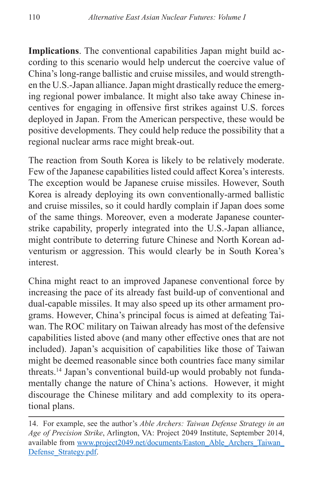**Implications**. The conventional capabilities Japan might build according to this scenario would help undercut the coercive value of China's long-range ballistic and cruise missiles, and would strengthen the U.S.-Japan alliance. Japan might drastically reduce the emerging regional power imbalance. It might also take away Chinese incentives for engaging in offensive first strikes against U.S. forces deployed in Japan. From the American perspective, these would be positive developments. They could help reduce the possibility that a regional nuclear arms race might break-out.

The reaction from South Korea is likely to be relatively moderate. Few of the Japanese capabilities listed could affect Korea's interests. The exception would be Japanese cruise missiles. However, South Korea is already deploying its own conventionally-armed ballistic and cruise missiles, so it could hardly complain if Japan does some of the same things. Moreover, even a moderate Japanese counterstrike capability, properly integrated into the U.S.-Japan alliance, might contribute to deterring future Chinese and North Korean adventurism or aggression. This would clearly be in South Korea's interest.

China might react to an improved Japanese conventional force by increasing the pace of its already fast build-up of conventional and dual-capable missiles. It may also speed up its other armament programs. However, China's principal focus is aimed at defeating Taiwan. The ROC military on Taiwan already has most of the defensive capabilities listed above (and many other effective ones that are not included). Japan's acquisition of capabilities like those of Taiwan might be deemed reasonable since both countries face many similar threats.14 Japan's conventional build-up would probably not fundamentally change the nature of China's actions. However, it might discourage the Chinese military and add complexity to its operational plans.

<sup>14.</sup> For example, see the author's *Able Archers: Taiwan Defense Strategy in an Age of Precision Strike*, Arlington, VA: Project 2049 Institute, September 2014, available from [www.project2049.net/documents/Easton\\_Able\\_Archers\\_Taiwan\\_](www.project2049.net/documents/Easton_Able_Archers_Taiwan_Defense_Strategy.pdf) [Defense\\_Strategy.pdf](www.project2049.net/documents/Easton_Able_Archers_Taiwan_Defense_Strategy.pdf).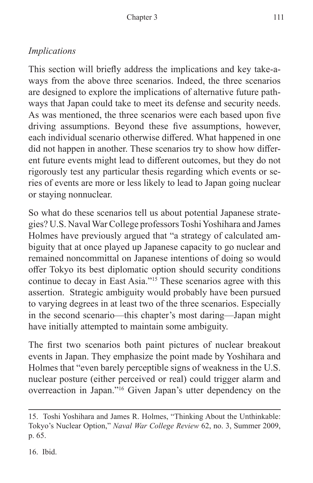## *Implications*

This section will briefly address the implications and key take-aways from the above three scenarios. Indeed, the three scenarios are designed to explore the implications of alternative future pathways that Japan could take to meet its defense and security needs. As was mentioned, the three scenarios were each based upon five driving assumptions. Beyond these five assumptions, however, each individual scenario otherwise differed. What happened in one did not happen in another. These scenarios try to show how different future events might lead to different outcomes, but they do not rigorously test any particular thesis regarding which events or series of events are more or less likely to lead to Japan going nuclear or staying nonnuclear.

So what do these scenarios tell us about potential Japanese strategies? U.S. Naval War College professors Toshi Yoshihara and James Holmes have previously argued that "a strategy of calculated ambiguity that at once played up Japanese capacity to go nuclear and remained noncommittal on Japanese intentions of doing so would offer Tokyo its best diplomatic option should security conditions continue to decay in East Asia."15 These scenarios agree with this assertion. Strategic ambiguity would probably have been pursued to varying degrees in at least two of the three scenarios. Especially in the second scenario—this chapter's most daring—Japan might have initially attempted to maintain some ambiguity.

The first two scenarios both paint pictures of nuclear breakout events in Japan. They emphasize the point made by Yoshihara and Holmes that "even barely perceptible signs of weakness in the U.S. nuclear posture (either perceived or real) could trigger alarm and overreaction in Japan."16 Given Japan's utter dependency on the

16. Ibid.

<sup>15.</sup> Toshi Yoshihara and James R. Holmes, "Thinking About the Unthinkable: Tokyo's Nuclear Option," *Naval War College Review* 62, no. 3, Summer 2009, p. 65.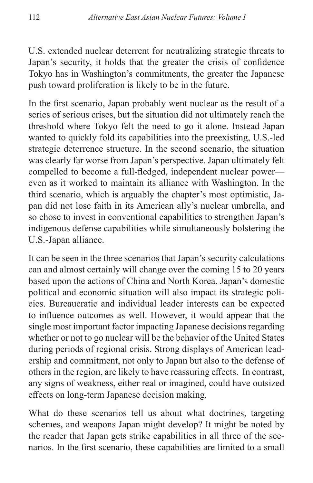U.S. extended nuclear deterrent for neutralizing strategic threats to Japan's security, it holds that the greater the crisis of confidence Tokyo has in Washington's commitments, the greater the Japanese push toward proliferation is likely to be in the future.

In the first scenario, Japan probably went nuclear as the result of a series of serious crises, but the situation did not ultimately reach the threshold where Tokyo felt the need to go it alone. Instead Japan wanted to quickly fold its capabilities into the preexisting, U.S.-led strategic deterrence structure. In the second scenario, the situation was clearly far worse from Japan's perspective. Japan ultimately felt compelled to become a full-fledged, independent nuclear power even as it worked to maintain its alliance with Washington. In the third scenario, which is arguably the chapter's most optimistic, Japan did not lose faith in its American ally's nuclear umbrella, and so chose to invest in conventional capabilities to strengthen Japan's indigenous defense capabilities while simultaneously bolstering the U.S.-Japan alliance.

It can be seen in the three scenarios that Japan's security calculations can and almost certainly will change over the coming 15 to 20 years based upon the actions of China and North Korea. Japan's domestic political and economic situation will also impact its strategic policies. Bureaucratic and individual leader interests can be expected to influence outcomes as well. However, it would appear that the single most important factor impacting Japanese decisions regarding whether or not to go nuclear will be the behavior of the United States during periods of regional crisis. Strong displays of American leadership and commitment, not only to Japan but also to the defense of others in the region, are likely to have reassuring effects. In contrast, any signs of weakness, either real or imagined, could have outsized effects on long-term Japanese decision making.

What do these scenarios tell us about what doctrines, targeting schemes, and weapons Japan might develop? It might be noted by the reader that Japan gets strike capabilities in all three of the scenarios. In the first scenario, these capabilities are limited to a small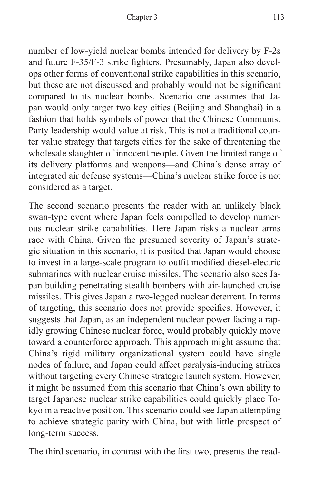number of low-yield nuclear bombs intended for delivery by F-2s and future F-35/F-3 strike fighters. Presumably, Japan also develops other forms of conventional strike capabilities in this scenario, but these are not discussed and probably would not be significant compared to its nuclear bombs. Scenario one assumes that Japan would only target two key cities (Beijing and Shanghai) in a fashion that holds symbols of power that the Chinese Communist Party leadership would value at risk. This is not a traditional counter value strategy that targets cities for the sake of threatening the wholesale slaughter of innocent people. Given the limited range of its delivery platforms and weapons—and China's dense array of integrated air defense systems—China's nuclear strike force is not considered as a target.

The second scenario presents the reader with an unlikely black swan-type event where Japan feels compelled to develop numerous nuclear strike capabilities. Here Japan risks a nuclear arms race with China. Given the presumed severity of Japan's strategic situation in this scenario, it is posited that Japan would choose to invest in a large-scale program to outfit modified diesel-electric submarines with nuclear cruise missiles. The scenario also sees Japan building penetrating stealth bombers with air-launched cruise missiles. This gives Japan a two-legged nuclear deterrent. In terms of targeting, this scenario does not provide specifics. However, it suggests that Japan, as an independent nuclear power facing a rapidly growing Chinese nuclear force, would probably quickly move toward a counterforce approach. This approach might assume that China's rigid military organizational system could have single nodes of failure, and Japan could affect paralysis-inducing strikes without targeting every Chinese strategic launch system. However, it might be assumed from this scenario that China's own ability to target Japanese nuclear strike capabilities could quickly place Tokyo in a reactive position. This scenario could see Japan attempting to achieve strategic parity with China, but with little prospect of long-term success.

The third scenario, in contrast with the first two, presents the read-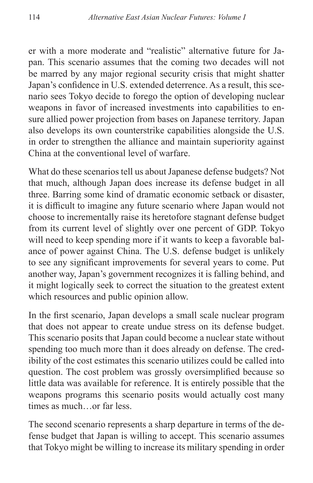er with a more moderate and "realistic" alternative future for Japan. This scenario assumes that the coming two decades will not be marred by any major regional security crisis that might shatter Japan's confidence in U.S. extended deterrence. As a result, this scenario sees Tokyo decide to forego the option of developing nuclear weapons in favor of increased investments into capabilities to ensure allied power projection from bases on Japanese territory. Japan also develops its own counterstrike capabilities alongside the U.S. in order to strengthen the alliance and maintain superiority against China at the conventional level of warfare.

What do these scenarios tell us about Japanese defense budgets? Not that much, although Japan does increase its defense budget in all three. Barring some kind of dramatic economic setback or disaster, it is difficult to imagine any future scenario where Japan would not choose to incrementally raise its heretofore stagnant defense budget from its current level of slightly over one percent of GDP. Tokyo will need to keep spending more if it wants to keep a favorable balance of power against China. The U.S. defense budget is unlikely to see any significant improvements for several years to come. Put another way, Japan's government recognizes it is falling behind, and it might logically seek to correct the situation to the greatest extent which resources and public opinion allow.

In the first scenario, Japan develops a small scale nuclear program that does not appear to create undue stress on its defense budget. This scenario posits that Japan could become a nuclear state without spending too much more than it does already on defense. The credibility of the cost estimates this scenario utilizes could be called into question. The cost problem was grossly oversimplified because so little data was available for reference. It is entirely possible that the weapons programs this scenario posits would actually cost many times as much…or far less.

The second scenario represents a sharp departure in terms of the defense budget that Japan is willing to accept. This scenario assumes that Tokyo might be willing to increase its military spending in order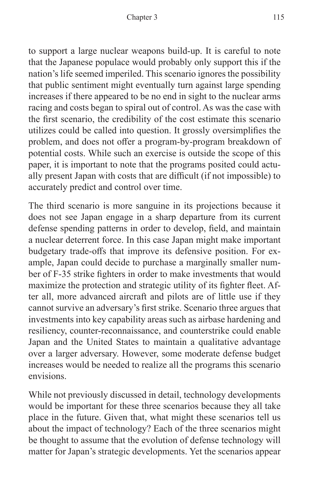to support a large nuclear weapons build-up. It is careful to note that the Japanese populace would probably only support this if the nation's life seemed imperiled. This scenario ignores the possibility that public sentiment might eventually turn against large spending increases if there appeared to be no end in sight to the nuclear arms racing and costs began to spiral out of control. As was the case with the first scenario, the credibility of the cost estimate this scenario utilizes could be called into question. It grossly oversimplifies the problem, and does not offer a program-by-program breakdown of potential costs. While such an exercise is outside the scope of this paper, it is important to note that the programs posited could actually present Japan with costs that are difficult (if not impossible) to accurately predict and control over time.

The third scenario is more sanguine in its projections because it does not see Japan engage in a sharp departure from its current defense spending patterns in order to develop, field, and maintain a nuclear deterrent force. In this case Japan might make important budgetary trade-offs that improve its defensive position. For example, Japan could decide to purchase a marginally smaller number of F-35 strike fighters in order to make investments that would maximize the protection and strategic utility of its fighter fleet. After all, more advanced aircraft and pilots are of little use if they cannot survive an adversary's first strike. Scenario three argues that investments into key capability areas such as airbase hardening and resiliency, counter-reconnaissance, and counterstrike could enable Japan and the United States to maintain a qualitative advantage over a larger adversary. However, some moderate defense budget increases would be needed to realize all the programs this scenario envisions.

While not previously discussed in detail, technology developments would be important for these three scenarios because they all take place in the future. Given that, what might these scenarios tell us about the impact of technology? Each of the three scenarios might be thought to assume that the evolution of defense technology will matter for Japan's strategic developments. Yet the scenarios appear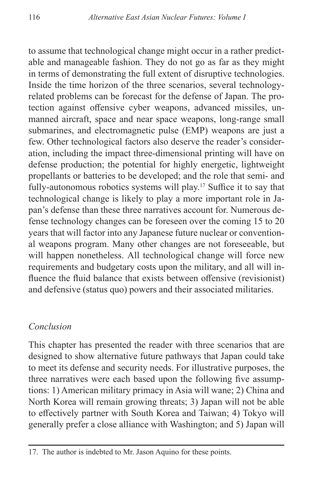to assume that technological change might occur in a rather predictable and manageable fashion. They do not go as far as they might in terms of demonstrating the full extent of disruptive technologies. Inside the time horizon of the three scenarios, several technologyrelated problems can be forecast for the defense of Japan. The protection against offensive cyber weapons, advanced missiles, unmanned aircraft, space and near space weapons, long-range small submarines, and electromagnetic pulse (EMP) weapons are just a few. Other technological factors also deserve the reader's consideration, including the impact three-dimensional printing will have on defense production; the potential for highly energetic, lightweight propellants or batteries to be developed; and the role that semi- and fully-autonomous robotics systems will play.<sup>17</sup> Suffice it to say that technological change is likely to play a more important role in Japan's defense than these three narratives account for. Numerous defense technology changes can be foreseen over the coming 15 to 20 years that will factor into any Japanese future nuclear or conventional weapons program. Many other changes are not foreseeable, but will happen nonetheless. All technological change will force new requirements and budgetary costs upon the military, and all will influence the fluid balance that exists between offensive (revisionist) and defensive (status quo) powers and their associated militaries.

#### *Conclusion*

This chapter has presented the reader with three scenarios that are designed to show alternative future pathways that Japan could take to meet its defense and security needs. For illustrative purposes, the three narratives were each based upon the following five assumptions: 1) American military primacy in Asia will wane; 2) China and North Korea will remain growing threats; 3) Japan will not be able to effectively partner with South Korea and Taiwan; 4) Tokyo will generally prefer a close alliance with Washington; and 5) Japan will

<sup>17.</sup> The author is indebted to Mr. Jason Aquino for these points.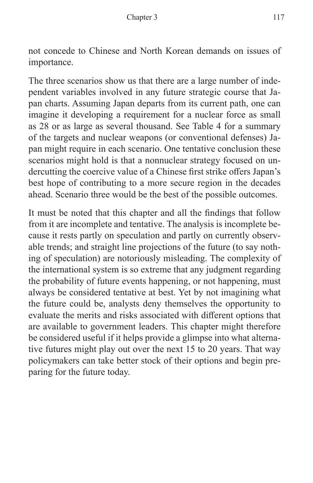not concede to Chinese and North Korean demands on issues of importance.

The three scenarios show us that there are a large number of independent variables involved in any future strategic course that Japan charts. Assuming Japan departs from its current path, one can imagine it developing a requirement for a nuclear force as small as 28 or as large as several thousand. See Table 4 for a summary of the targets and nuclear weapons (or conventional defenses) Japan might require in each scenario. One tentative conclusion these scenarios might hold is that a nonnuclear strategy focused on undercutting the coercive value of a Chinese first strike offers Japan's best hope of contributing to a more secure region in the decades ahead. Scenario three would be the best of the possible outcomes.

It must be noted that this chapter and all the findings that follow from it are incomplete and tentative. The analysis is incomplete because it rests partly on speculation and partly on currently observable trends; and straight line projections of the future (to say nothing of speculation) are notoriously misleading. The complexity of the international system is so extreme that any judgment regarding the probability of future events happening, or not happening, must always be considered tentative at best. Yet by not imagining what the future could be, analysts deny themselves the opportunity to evaluate the merits and risks associated with different options that are available to government leaders. This chapter might therefore be considered useful if it helps provide a glimpse into what alternative futures might play out over the next 15 to 20 years. That way policymakers can take better stock of their options and begin preparing for the future today.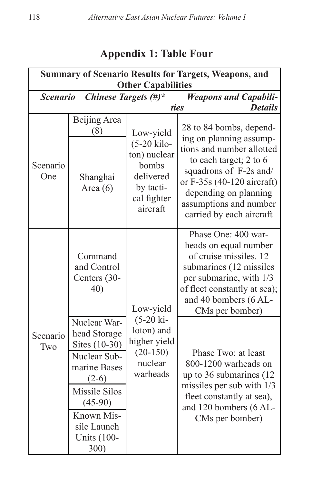| <b>Summary of Scenario Results for Targets, Weapons, and</b> |                                                                                                                                                                                          |                                                                                                          |                                                                                                                                                                                                                                                  |  |  |  |
|--------------------------------------------------------------|------------------------------------------------------------------------------------------------------------------------------------------------------------------------------------------|----------------------------------------------------------------------------------------------------------|--------------------------------------------------------------------------------------------------------------------------------------------------------------------------------------------------------------------------------------------------|--|--|--|
| <b>Other Capabilities</b>                                    |                                                                                                                                                                                          |                                                                                                          |                                                                                                                                                                                                                                                  |  |  |  |
| <b>Scenario</b>                                              | Chinese Targets (#)*                                                                                                                                                                     |                                                                                                          | <b>Weapons and Capabili-</b>                                                                                                                                                                                                                     |  |  |  |
| ties<br><b>Details</b>                                       |                                                                                                                                                                                          |                                                                                                          |                                                                                                                                                                                                                                                  |  |  |  |
| Scenario<br>One                                              | Beijing Area<br>(8)<br>Shanghai<br>Area $(6)$                                                                                                                                            | Low-yield<br>$(5-20$ kilo-<br>ton) nuclear<br>bombs<br>delivered<br>by tacti-<br>cal fighter<br>aircraft | 28 to 84 bombs, depend-<br>ing on planning assump-<br>tions and number allotted<br>to each target; 2 to 6<br>squadrons of F-2s and/<br>or F-35s (40-120 aircraft)<br>depending on planning<br>assumptions and number<br>carried by each aircraft |  |  |  |
| Scenario<br>Two                                              | Command<br>and Control<br>Centers (30-<br>40)                                                                                                                                            | Low-yield<br>$(5-20 \text{ ki} -$<br>loton) and<br>higher yield<br>$(20-150)$<br>nuclear<br>warheads     | Phase One: 400 war-<br>heads on equal number<br>of cruise missiles. 12<br>submarines (12 missiles<br>per submarine, with 1/3<br>of fleet constantly at sea);<br>and 40 bombers (6 AL-<br>CMs per bomber)                                         |  |  |  |
|                                                              | Nuclear War-<br>head Storage<br>Sites (10-30)<br>Nuclear Sub-<br>marine Bases<br>$(2-6)$<br><b>Missile Silos</b><br>$(45-90)$<br>Known Mis-<br>sile Launch<br><b>Units (100-</b><br>300) |                                                                                                          | Phase Two: at least<br>800-1200 warheads on<br>up to 36 submarines (12)<br>missiles per sub with $1/3$<br>fleet constantly at sea),<br>and 120 bombers (6 AL-<br>CMs per bomber)                                                                 |  |  |  |

## **Appendix 1: Table Four**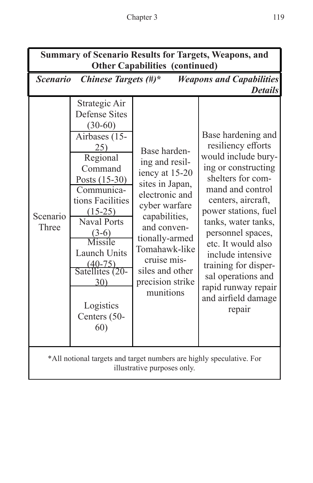| <b>Summary of Scenario Results for Targets, Weapons, and</b><br><b>Other Capabilities (continued)</b> |                                                                                                                                                                                                                                                                                                                            |                                                                                                                                                                                                                                              |                                                                                                                                                                                                                                                                                                                                                                            |  |  |
|-------------------------------------------------------------------------------------------------------|----------------------------------------------------------------------------------------------------------------------------------------------------------------------------------------------------------------------------------------------------------------------------------------------------------------------------|----------------------------------------------------------------------------------------------------------------------------------------------------------------------------------------------------------------------------------------------|----------------------------------------------------------------------------------------------------------------------------------------------------------------------------------------------------------------------------------------------------------------------------------------------------------------------------------------------------------------------------|--|--|
| Chinese Targets $(\#)^*$<br><b>Weapons and Capabilities</b><br><i>Scenario</i><br><b>Details</b>      |                                                                                                                                                                                                                                                                                                                            |                                                                                                                                                                                                                                              |                                                                                                                                                                                                                                                                                                                                                                            |  |  |
| Scenario<br>Three                                                                                     | Strategic Air<br><b>Defense Sites</b><br>$(30-60)$<br>Airbases (15-<br>25)<br>Regional<br>Command<br>Posts (15-30)<br>Communica-<br>tions Facilities<br>$(15-25)$<br><b>Naval Ports</b><br>$(3-6)$<br>Missile<br><b>Launch Units</b><br>$\frac{(40-75)}{\text{Satellites} (20-$<br>30)<br>Logistics<br>Centers (50-<br>60) | Base harden-<br>ing and resil-<br>iency at 15-20<br>sites in Japan,<br>electronic and<br>cyber warfare<br>capabilities,<br>and conven-<br>tionally-armed<br>Tomahawk-like<br>cruise mis-<br>siles and other<br>precision strike<br>munitions | Base hardening and<br>resiliency efforts<br>would include bury-<br>ing or constructing<br>shelters for com-<br>mand and control<br>centers, aircraft,<br>power stations, fuel<br>tanks, water tanks,<br>personnel spaces,<br>etc. It would also<br>include intensive<br>training for disper-<br>sal operations and<br>rapid runway repair<br>and airfield damage<br>repair |  |  |
| *All notional targets and target numbers are highly speculative. For<br>illustrative purposes only.   |                                                                                                                                                                                                                                                                                                                            |                                                                                                                                                                                                                                              |                                                                                                                                                                                                                                                                                                                                                                            |  |  |

I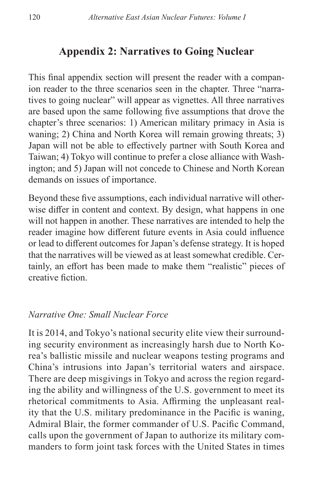## **Appendix 2: Narratives to Going Nuclear**

This final appendix section will present the reader with a companion reader to the three scenarios seen in the chapter. Three "narratives to going nuclear" will appear as vignettes. All three narratives are based upon the same following five assumptions that drove the chapter's three scenarios: 1) American military primacy in Asia is waning; 2) China and North Korea will remain growing threats; 3) Japan will not be able to effectively partner with South Korea and Taiwan; 4) Tokyo will continue to prefer a close alliance with Washington; and 5) Japan will not concede to Chinese and North Korean demands on issues of importance.

Beyond these five assumptions, each individual narrative will otherwise differ in content and context. By design, what happens in one will not happen in another. These narratives are intended to help the reader imagine how different future events in Asia could influence or lead to different outcomes for Japan's defense strategy. It is hoped that the narratives will be viewed as at least somewhat credible. Certainly, an effort has been made to make them "realistic" pieces of creative fiction.

#### *Narrative One: Small Nuclear Force*

It is 2014, and Tokyo's national security elite view their surrounding security environment as increasingly harsh due to North Korea's ballistic missile and nuclear weapons testing programs and China's intrusions into Japan's territorial waters and airspace. There are deep misgivings in Tokyo and across the region regarding the ability and willingness of the U.S. government to meet its rhetorical commitments to Asia. Affirming the unpleasant reality that the U.S. military predominance in the Pacific is waning, Admiral Blair, the former commander of U.S. Pacific Command, calls upon the government of Japan to authorize its military commanders to form joint task forces with the United States in times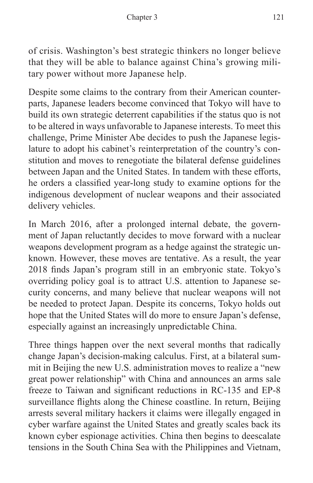of crisis. Washington's best strategic thinkers no longer believe that they will be able to balance against China's growing military power without more Japanese help.

Despite some claims to the contrary from their American counterparts, Japanese leaders become convinced that Tokyo will have to build its own strategic deterrent capabilities if the status quo is not to be altered in ways unfavorable to Japanese interests. To meet this challenge, Prime Minister Abe decides to push the Japanese legislature to adopt his cabinet's reinterpretation of the country's constitution and moves to renegotiate the bilateral defense guidelines between Japan and the United States. In tandem with these efforts, he orders a classified year-long study to examine options for the indigenous development of nuclear weapons and their associated delivery vehicles.

In March 2016, after a prolonged internal debate, the government of Japan reluctantly decides to move forward with a nuclear weapons development program as a hedge against the strategic unknown. However, these moves are tentative. As a result, the year 2018 finds Japan's program still in an embryonic state. Tokyo's overriding policy goal is to attract U.S. attention to Japanese security concerns, and many believe that nuclear weapons will not be needed to protect Japan. Despite its concerns, Tokyo holds out hope that the United States will do more to ensure Japan's defense, especially against an increasingly unpredictable China.

Three things happen over the next several months that radically change Japan's decision-making calculus. First, at a bilateral summit in Beijing the new U.S. administration moves to realize a "new great power relationship" with China and announces an arms sale freeze to Taiwan and significant reductions in RC-135 and EP-8 surveillance flights along the Chinese coastline. In return, Beijing arrests several military hackers it claims were illegally engaged in cyber warfare against the United States and greatly scales back its known cyber espionage activities. China then begins to deescalate tensions in the South China Sea with the Philippines and Vietnam,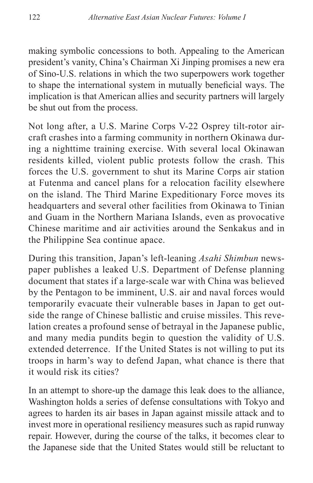making symbolic concessions to both. Appealing to the American president's vanity, China's Chairman Xi Jinping promises a new era of Sino-U.S. relations in which the two superpowers work together to shape the international system in mutually beneficial ways. The implication is that American allies and security partners will largely be shut out from the process.

Not long after, a U.S. Marine Corps V-22 Osprey tilt-rotor aircraft crashes into a farming community in northern Okinawa during a nighttime training exercise. With several local Okinawan residents killed, violent public protests follow the crash. This forces the U.S. government to shut its Marine Corps air station at Futenma and cancel plans for a relocation facility elsewhere on the island. The Third Marine Expeditionary Force moves its headquarters and several other facilities from Okinawa to Tinian and Guam in the Northern Mariana Islands, even as provocative Chinese maritime and air activities around the Senkakus and in the Philippine Sea continue apace.

During this transition, Japan's left-leaning *Asahi Shimbun* newspaper publishes a leaked U.S. Department of Defense planning document that states if a large-scale war with China was believed by the Pentagon to be imminent, U.S. air and naval forces would temporarily evacuate their vulnerable bases in Japan to get outside the range of Chinese ballistic and cruise missiles. This revelation creates a profound sense of betrayal in the Japanese public, and many media pundits begin to question the validity of U.S. extended deterrence. If the United States is not willing to put its troops in harm's way to defend Japan, what chance is there that it would risk its cities?

In an attempt to shore-up the damage this leak does to the alliance, Washington holds a series of defense consultations with Tokyo and agrees to harden its air bases in Japan against missile attack and to invest more in operational resiliency measures such as rapid runway repair. However, during the course of the talks, it becomes clear to the Japanese side that the United States would still be reluctant to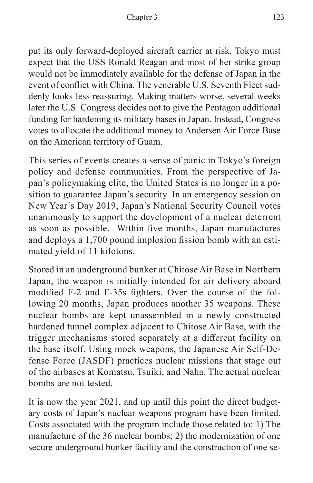put its only forward-deployed aircraft carrier at risk. Tokyo must expect that the USS Ronald Reagan and most of her strike group would not be immediately available for the defense of Japan in the event of conflict with China. The venerable U.S. Seventh Fleet suddenly looks less reassuring. Making matters worse, several weeks later the U.S. Congress decides not to give the Pentagon additional funding for hardening its military bases in Japan. Instead, Congress votes to allocate the additional money to Andersen Air Force Base on the American territory of Guam.

This series of events creates a sense of panic in Tokyo's foreign policy and defense communities. From the perspective of Japan's policymaking elite, the United States is no longer in a position to guarantee Japan's security. In an emergency session on New Year's Day 2019, Japan's National Security Council votes unanimously to support the development of a nuclear deterrent as soon as possible. Within five months, Japan manufactures and deploys a 1,700 pound implosion fission bomb with an estimated yield of 11 kilotons.

Stored in an underground bunker at Chitose Air Base in Northern Japan, the weapon is initially intended for air delivery aboard modified F-2 and F-35s fighters. Over the course of the following 20 months, Japan produces another 35 weapons. These nuclear bombs are kept unassembled in a newly constructed hardened tunnel complex adjacent to Chitose Air Base, with the trigger mechanisms stored separately at a different facility on the base itself. Using mock weapons, the Japanese Air Self-Defense Force (JASDF) practices nuclear missions that stage out of the airbases at Komatsu, Tsuiki, and Naha. The actual nuclear bombs are not tested.

It is now the year 2021, and up until this point the direct budgetary costs of Japan's nuclear weapons program have been limited. Costs associated with the program include those related to: 1) The manufacture of the 36 nuclear bombs; 2) the modernization of one secure underground bunker facility and the construction of one se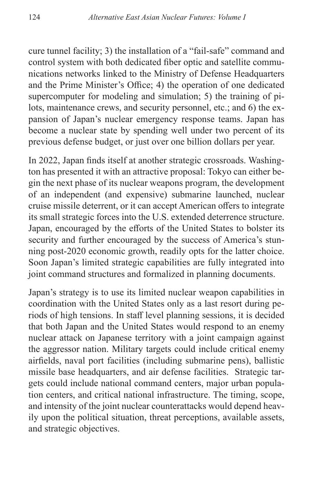cure tunnel facility; 3) the installation of a "fail-safe" command and control system with both dedicated fiber optic and satellite communications networks linked to the Ministry of Defense Headquarters and the Prime Minister's Office; 4) the operation of one dedicated supercomputer for modeling and simulation; 5) the training of pilots, maintenance crews, and security personnel, etc.; and 6) the expansion of Japan's nuclear emergency response teams. Japan has become a nuclear state by spending well under two percent of its previous defense budget, or just over one billion dollars per year.

In 2022, Japan finds itself at another strategic crossroads. Washington has presented it with an attractive proposal: Tokyo can either begin the next phase of its nuclear weapons program, the development of an independent (and expensive) submarine launched, nuclear cruise missile deterrent, or it can accept American offers to integrate its small strategic forces into the U.S. extended deterrence structure. Japan, encouraged by the efforts of the United States to bolster its security and further encouraged by the success of America's stunning post-2020 economic growth, readily opts for the latter choice. Soon Japan's limited strategic capabilities are fully integrated into joint command structures and formalized in planning documents.

Japan's strategy is to use its limited nuclear weapon capabilities in coordination with the United States only as a last resort during periods of high tensions. In staff level planning sessions, it is decided that both Japan and the United States would respond to an enemy nuclear attack on Japanese territory with a joint campaign against the aggressor nation. Military targets could include critical enemy airfields, naval port facilities (including submarine pens), ballistic missile base headquarters, and air defense facilities. Strategic targets could include national command centers, major urban population centers, and critical national infrastructure. The timing, scope, and intensity of the joint nuclear counterattacks would depend heavily upon the political situation, threat perceptions, available assets, and strategic objectives.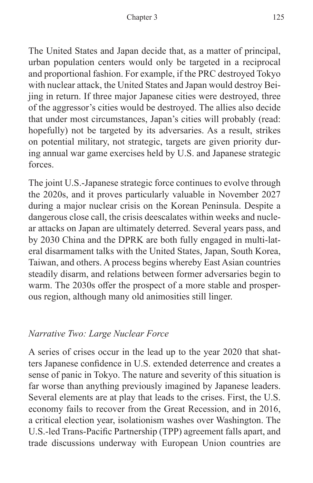The United States and Japan decide that, as a matter of principal, urban population centers would only be targeted in a reciprocal and proportional fashion. For example, if the PRC destroyed Tokyo with nuclear attack, the United States and Japan would destroy Beijing in return. If three major Japanese cities were destroyed, three of the aggressor's cities would be destroyed. The allies also decide that under most circumstances, Japan's cities will probably (read: hopefully) not be targeted by its adversaries. As a result, strikes on potential military, not strategic, targets are given priority during annual war game exercises held by U.S. and Japanese strategic forces.

The joint U.S.-Japanese strategic force continues to evolve through the 2020s, and it proves particularly valuable in November 2027 during a major nuclear crisis on the Korean Peninsula. Despite a dangerous close call, the crisis deescalates within weeks and nuclear attacks on Japan are ultimately deterred. Several years pass, and by 2030 China and the DPRK are both fully engaged in multi-lateral disarmament talks with the United States, Japan, South Korea, Taiwan, and others. A process begins whereby East Asian countries steadily disarm, and relations between former adversaries begin to warm. The 2030s offer the prospect of a more stable and prosperous region, although many old animosities still linger.

## *Narrative Two: Large Nuclear Force*

A series of crises occur in the lead up to the year 2020 that shatters Japanese confidence in U.S. extended deterrence and creates a sense of panic in Tokyo. The nature and severity of this situation is far worse than anything previously imagined by Japanese leaders. Several elements are at play that leads to the crises. First, the U.S. economy fails to recover from the Great Recession, and in 2016, a critical election year, isolationism washes over Washington. The U.S.-led Trans-Pacific Partnership (TPP) agreement falls apart, and trade discussions underway with European Union countries are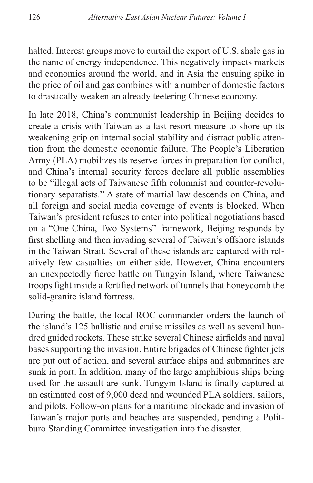halted. Interest groups move to curtail the export of U.S. shale gas in the name of energy independence. This negatively impacts markets and economies around the world, and in Asia the ensuing spike in the price of oil and gas combines with a number of domestic factors to drastically weaken an already teetering Chinese economy.

In late 2018, China's communist leadership in Beijing decides to create a crisis with Taiwan as a last resort measure to shore up its weakening grip on internal social stability and distract public attention from the domestic economic failure. The People's Liberation Army (PLA) mobilizes its reserve forces in preparation for conflict, and China's internal security forces declare all public assemblies to be "illegal acts of Taiwanese fifth columnist and counter-revolutionary separatists." A state of martial law descends on China, and all foreign and social media coverage of events is blocked. When Taiwan's president refuses to enter into political negotiations based on a "One China, Two Systems" framework, Beijing responds by first shelling and then invading several of Taiwan's offshore islands in the Taiwan Strait. Several of these islands are captured with relatively few casualties on either side. However, China encounters an unexpectedly fierce battle on Tungyin Island, where Taiwanese troops fight inside a fortified network of tunnels that honeycomb the solid-granite island fortress.

During the battle, the local ROC commander orders the launch of the island's 125 ballistic and cruise missiles as well as several hundred guided rockets. These strike several Chinese airfields and naval bases supporting the invasion. Entire brigades of Chinese fighter jets are put out of action, and several surface ships and submarines are sunk in port. In addition, many of the large amphibious ships being used for the assault are sunk. Tungyin Island is finally captured at an estimated cost of 9,000 dead and wounded PLA soldiers, sailors, and pilots. Follow-on plans for a maritime blockade and invasion of Taiwan's major ports and beaches are suspended, pending a Politburo Standing Committee investigation into the disaster.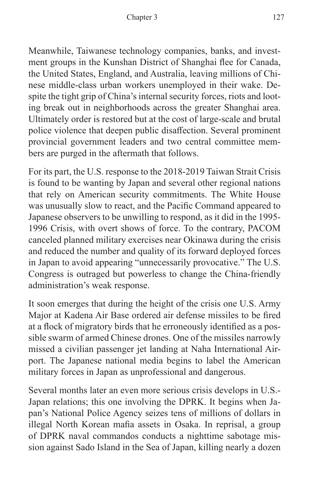Meanwhile, Taiwanese technology companies, banks, and investment groups in the Kunshan District of Shanghai flee for Canada, the United States, England, and Australia, leaving millions of Chinese middle-class urban workers unemployed in their wake. Despite the tight grip of China's internal security forces, riots and looting break out in neighborhoods across the greater Shanghai area. Ultimately order is restored but at the cost of large-scale and brutal police violence that deepen public disaffection. Several prominent provincial government leaders and two central committee members are purged in the aftermath that follows.

For its part, the U.S. response to the 2018-2019 Taiwan Strait Crisis is found to be wanting by Japan and several other regional nations that rely on American security commitments. The White House was unusually slow to react, and the Pacific Command appeared to Japanese observers to be unwilling to respond, as it did in the 1995- 1996 Crisis, with overt shows of force. To the contrary, PACOM canceled planned military exercises near Okinawa during the crisis and reduced the number and quality of its forward deployed forces in Japan to avoid appearing "unnecessarily provocative." The U.S. Congress is outraged but powerless to change the China-friendly administration's weak response.

It soon emerges that during the height of the crisis one U.S. Army Major at Kadena Air Base ordered air defense missiles to be fired at a flock of migratory birds that he erroneously identified as a possible swarm of armed Chinese drones. One of the missiles narrowly missed a civilian passenger jet landing at Naha International Airport. The Japanese national media begins to label the American military forces in Japan as unprofessional and dangerous.

Several months later an even more serious crisis develops in U.S.- Japan relations; this one involving the DPRK. It begins when Japan's National Police Agency seizes tens of millions of dollars in illegal North Korean mafia assets in Osaka. In reprisal, a group of DPRK naval commandos conducts a nighttime sabotage mission against Sado Island in the Sea of Japan, killing nearly a dozen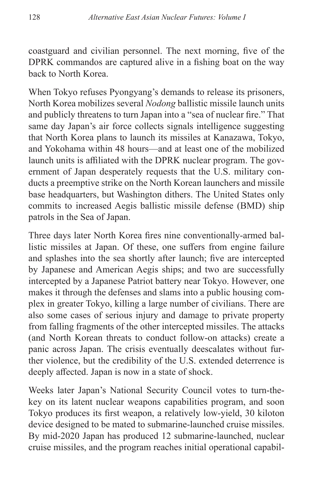coastguard and civilian personnel. The next morning, five of the DPRK commandos are captured alive in a fishing boat on the way back to North Korea.

When Tokyo refuses Pyongyang's demands to release its prisoners, North Korea mobilizes several *Nodong* ballistic missile launch units and publicly threatens to turn Japan into a "sea of nuclear fire." That same day Japan's air force collects signals intelligence suggesting that North Korea plans to launch its missiles at Kanazawa, Tokyo, and Yokohama within 48 hours—and at least one of the mobilized launch units is affiliated with the DPRK nuclear program. The government of Japan desperately requests that the U.S. military conducts a preemptive strike on the North Korean launchers and missile base headquarters, but Washington dithers. The United States only commits to increased Aegis ballistic missile defense (BMD) ship patrols in the Sea of Japan.

Three days later North Korea fires nine conventionally-armed ballistic missiles at Japan. Of these, one suffers from engine failure and splashes into the sea shortly after launch; five are intercepted by Japanese and American Aegis ships; and two are successfully intercepted by a Japanese Patriot battery near Tokyo. However, one makes it through the defenses and slams into a public housing complex in greater Tokyo, killing a large number of civilians. There are also some cases of serious injury and damage to private property from falling fragments of the other intercepted missiles. The attacks (and North Korean threats to conduct follow-on attacks) create a panic across Japan. The crisis eventually deescalates without further violence, but the credibility of the U.S. extended deterrence is deeply affected. Japan is now in a state of shock.

Weeks later Japan's National Security Council votes to turn-thekey on its latent nuclear weapons capabilities program, and soon Tokyo produces its first weapon, a relatively low-yield, 30 kiloton device designed to be mated to submarine-launched cruise missiles. By mid-2020 Japan has produced 12 submarine-launched, nuclear cruise missiles, and the program reaches initial operational capabil-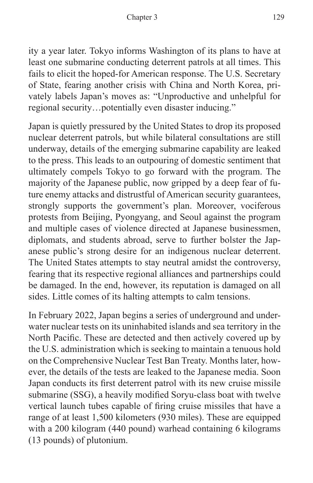ity a year later. Tokyo informs Washington of its plans to have at least one submarine conducting deterrent patrols at all times. This fails to elicit the hoped-for American response. The U.S. Secretary of State, fearing another crisis with China and North Korea, privately labels Japan's moves as: "Unproductive and unhelpful for regional security…potentially even disaster inducing."

Japan is quietly pressured by the United States to drop its proposed nuclear deterrent patrols, but while bilateral consultations are still underway, details of the emerging submarine capability are leaked to the press. This leads to an outpouring of domestic sentiment that ultimately compels Tokyo to go forward with the program. The majority of the Japanese public, now gripped by a deep fear of future enemy attacks and distrustful of American security guarantees, strongly supports the government's plan. Moreover, vociferous protests from Beijing, Pyongyang, and Seoul against the program and multiple cases of violence directed at Japanese businessmen, diplomats, and students abroad, serve to further bolster the Japanese public's strong desire for an indigenous nuclear deterrent. The United States attempts to stay neutral amidst the controversy, fearing that its respective regional alliances and partnerships could be damaged. In the end, however, its reputation is damaged on all sides. Little comes of its halting attempts to calm tensions.

In February 2022, Japan begins a series of underground and underwater nuclear tests on its uninhabited islands and sea territory in the North Pacific. These are detected and then actively covered up by the U.S. administration which is seeking to maintain a tenuous hold on the Comprehensive Nuclear Test Ban Treaty. Months later, however, the details of the tests are leaked to the Japanese media. Soon Japan conducts its first deterrent patrol with its new cruise missile submarine (SSG), a heavily modified Soryu-class boat with twelve vertical launch tubes capable of firing cruise missiles that have a range of at least 1,500 kilometers (930 miles). These are equipped with a 200 kilogram (440 pound) warhead containing 6 kilograms (13 pounds) of plutonium.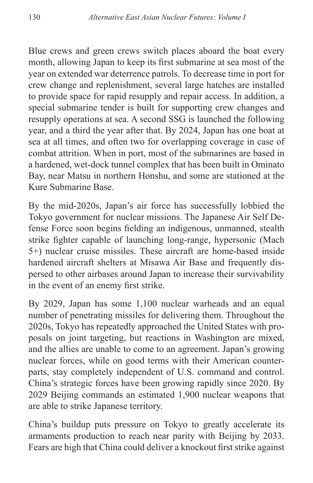Blue crews and green crews switch places aboard the boat every month, allowing Japan to keep its first submarine at sea most of the year on extended war deterrence patrols. To decrease time in port for crew change and replenishment, several large hatches are installed to provide space for rapid resupply and repair access. In addition, a special submarine tender is built for supporting crew changes and resupply operations at sea. A second SSG is launched the following year, and a third the year after that. By 2024, Japan has one boat at sea at all times, and often two for overlapping coverage in case of combat attrition. When in port, most of the submarines are based in a hardened, wet-dock tunnel complex that has been built in Ominato Bay, near Matsu in northern Honshu, and some are stationed at the Kure Submarine Base.

By the mid-2020s, Japan's air force has successfully lobbied the Tokyo government for nuclear missions. The Japanese Air Self Defense Force soon begins fielding an indigenous, unmanned, stealth strike fighter capable of launching long-range, hypersonic (Mach 5+) nuclear cruise missiles. These aircraft are home-based inside hardened aircraft shelters at Misawa Air Base and frequently dispersed to other airbases around Japan to increase their survivability in the event of an enemy first strike.

By 2029, Japan has some 1,100 nuclear warheads and an equal number of penetrating missiles for delivering them. Throughout the 2020s, Tokyo has repeatedly approached the United States with proposals on joint targeting, but reactions in Washington are mixed, and the allies are unable to come to an agreement. Japan's growing nuclear forces, while on good terms with their American counterparts, stay completely independent of U.S. command and control. China's strategic forces have been growing rapidly since 2020. By 2029 Beijing commands an estimated 1,900 nuclear weapons that are able to strike Japanese territory.

China's buildup puts pressure on Tokyo to greatly accelerate its armaments production to reach near parity with Beijing by 2033. Fears are high that China could deliver a knockout first strike against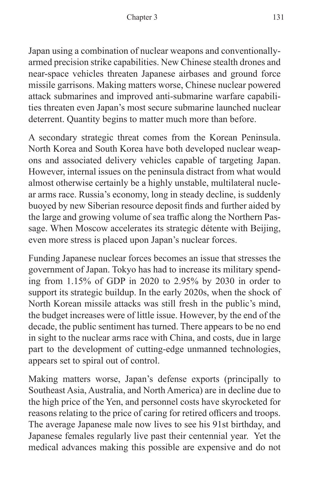Japan using a combination of nuclear weapons and conventionallyarmed precision strike capabilities. New Chinese stealth drones and near-space vehicles threaten Japanese airbases and ground force missile garrisons. Making matters worse, Chinese nuclear powered attack submarines and improved anti-submarine warfare capabilities threaten even Japan's most secure submarine launched nuclear deterrent. Quantity begins to matter much more than before.

A secondary strategic threat comes from the Korean Peninsula. North Korea and South Korea have both developed nuclear weapons and associated delivery vehicles capable of targeting Japan. However, internal issues on the peninsula distract from what would almost otherwise certainly be a highly unstable, multilateral nuclear arms race. Russia's economy, long in steady decline, is suddenly buoyed by new Siberian resource deposit finds and further aided by the large and growing volume of sea traffic along the Northern Passage. When Moscow accelerates its strategic détente with Beijing, even more stress is placed upon Japan's nuclear forces.

Funding Japanese nuclear forces becomes an issue that stresses the government of Japan. Tokyo has had to increase its military spending from 1.15% of GDP in 2020 to 2.95% by 2030 in order to support its strategic buildup. In the early 2020s, when the shock of North Korean missile attacks was still fresh in the public's mind, the budget increases were of little issue. However, by the end of the decade, the public sentiment has turned. There appears to be no end in sight to the nuclear arms race with China, and costs, due in large part to the development of cutting-edge unmanned technologies, appears set to spiral out of control.

Making matters worse, Japan's defense exports (principally to Southeast Asia, Australia, and North America) are in decline due to the high price of the Yen, and personnel costs have skyrocketed for reasons relating to the price of caring for retired officers and troops. The average Japanese male now lives to see his 91st birthday, and Japanese females regularly live past their centennial year. Yet the medical advances making this possible are expensive and do not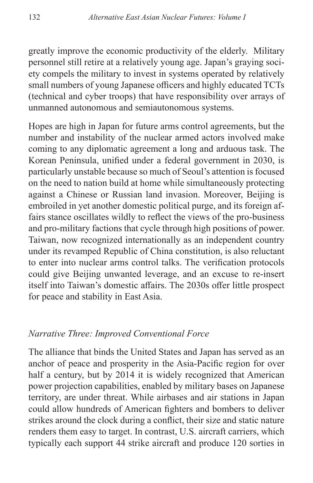greatly improve the economic productivity of the elderly. Military personnel still retire at a relatively young age. Japan's graying society compels the military to invest in systems operated by relatively small numbers of young Japanese officers and highly educated TCTs (technical and cyber troops) that have responsibility over arrays of unmanned autonomous and semiautonomous systems.

Hopes are high in Japan for future arms control agreements, but the number and instability of the nuclear armed actors involved make coming to any diplomatic agreement a long and arduous task. The Korean Peninsula, unified under a federal government in 2030, is particularly unstable because so much of Seoul's attention is focused on the need to nation build at home while simultaneously protecting against a Chinese or Russian land invasion. Moreover, Beijing is embroiled in yet another domestic political purge, and its foreign affairs stance oscillates wildly to reflect the views of the pro-business and pro-military factions that cycle through high positions of power. Taiwan, now recognized internationally as an independent country under its revamped Republic of China constitution, is also reluctant to enter into nuclear arms control talks. The verification protocols could give Beijing unwanted leverage, and an excuse to re-insert itself into Taiwan's domestic affairs. The 2030s offer little prospect for peace and stability in East Asia.

#### *Narrative Three: Improved Conventional Force*

The alliance that binds the United States and Japan has served as an anchor of peace and prosperity in the Asia-Pacific region for over half a century, but by 2014 it is widely recognized that American power projection capabilities, enabled by military bases on Japanese territory, are under threat. While airbases and air stations in Japan could allow hundreds of American fighters and bombers to deliver strikes around the clock during a conflict, their size and static nature renders them easy to target. In contrast, U.S. aircraft carriers, which typically each support 44 strike aircraft and produce 120 sorties in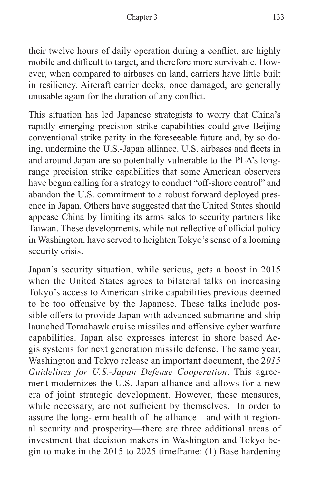their twelve hours of daily operation during a conflict, are highly mobile and difficult to target, and therefore more survivable. However, when compared to airbases on land, carriers have little built in resiliency. Aircraft carrier decks, once damaged, are generally unusable again for the duration of any conflict.

This situation has led Japanese strategists to worry that China's rapidly emerging precision strike capabilities could give Beijing conventional strike parity in the foreseeable future and, by so doing, undermine the U.S.-Japan alliance. U.S. airbases and fleets in and around Japan are so potentially vulnerable to the PLA's longrange precision strike capabilities that some American observers have begun calling for a strategy to conduct "off-shore control" and abandon the U.S. commitment to a robust forward deployed presence in Japan. Others have suggested that the United States should appease China by limiting its arms sales to security partners like Taiwan. These developments, while not reflective of official policy in Washington, have served to heighten Tokyo's sense of a looming security crisis.

Japan's security situation, while serious, gets a boost in 2015 when the United States agrees to bilateral talks on increasing Tokyo's access to American strike capabilities previous deemed to be too offensive by the Japanese. These talks include possible offers to provide Japan with advanced submarine and ship launched Tomahawk cruise missiles and offensive cyber warfare capabilities. Japan also expresses interest in shore based Aegis systems for next generation missile defense. The same year, Washington and Tokyo release an important document, the 2*015 Guidelines for U.S.-Japan Defense Cooperation*. This agreement modernizes the U.S.-Japan alliance and allows for a new era of joint strategic development. However, these measures, while necessary, are not sufficient by themselves. In order to assure the long-term health of the alliance—and with it regional security and prosperity—there are three additional areas of investment that decision makers in Washington and Tokyo begin to make in the 2015 to 2025 timeframe: (1) Base hardening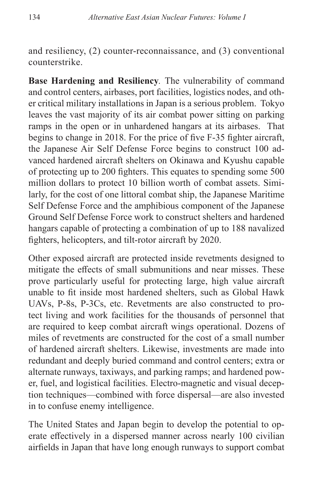and resiliency, (2) counter-reconnaissance, and (3) conventional counterstrike.

**Base Hardening and Resiliency***.* The vulnerability of command and control centers, airbases, port facilities, logistics nodes, and other critical military installations in Japan is a serious problem. Tokyo leaves the vast majority of its air combat power sitting on parking ramps in the open or in unhardened hangars at its airbases. That begins to change in 2018. For the price of five F-35 fighter aircraft, the Japanese Air Self Defense Force begins to construct 100 advanced hardened aircraft shelters on Okinawa and Kyushu capable of protecting up to 200 fighters. This equates to spending some 500 million dollars to protect 10 billion worth of combat assets. Similarly, for the cost of one littoral combat ship, the Japanese Maritime Self Defense Force and the amphibious component of the Japanese Ground Self Defense Force work to construct shelters and hardened hangars capable of protecting a combination of up to 188 navalized fighters, helicopters, and tilt-rotor aircraft by 2020.

Other exposed aircraft are protected inside revetments designed to mitigate the effects of small submunitions and near misses. These prove particularly useful for protecting large, high value aircraft unable to fit inside most hardened shelters, such as Global Hawk UAVs, P-8s, P-3Cs, etc. Revetments are also constructed to protect living and work facilities for the thousands of personnel that are required to keep combat aircraft wings operational. Dozens of miles of revetments are constructed for the cost of a small number of hardened aircraft shelters. Likewise, investments are made into redundant and deeply buried command and control centers; extra or alternate runways, taxiways, and parking ramps; and hardened power, fuel, and logistical facilities. Electro-magnetic and visual deception techniques—combined with force dispersal—are also invested in to confuse enemy intelligence.

The United States and Japan begin to develop the potential to operate effectively in a dispersed manner across nearly 100 civilian airfields in Japan that have long enough runways to support combat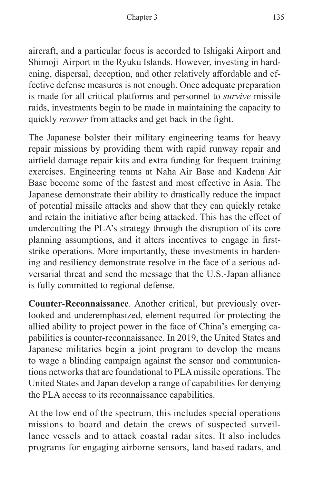aircraft, and a particular focus is accorded to Ishigaki Airport and Shimoji Airport in the Ryuku Islands. However, investing in hardening, dispersal, deception, and other relatively affordable and effective defense measures is not enough. Once adequate preparation is made for all critical platforms and personnel to *survive* missile raids, investments begin to be made in maintaining the capacity to quickly *recover* from attacks and get back in the fight.

The Japanese bolster their military engineering teams for heavy repair missions by providing them with rapid runway repair and airfield damage repair kits and extra funding for frequent training exercises. Engineering teams at Naha Air Base and Kadena Air Base become some of the fastest and most effective in Asia. The Japanese demonstrate their ability to drastically reduce the impact of potential missile attacks and show that they can quickly retake and retain the initiative after being attacked. This has the effect of undercutting the PLA's strategy through the disruption of its core planning assumptions, and it alters incentives to engage in firststrike operations. More importantly, these investments in hardening and resiliency demonstrate resolve in the face of a serious adversarial threat and send the message that the U.S.-Japan alliance is fully committed to regional defense.

**Counter-Reconnaissance**. Another critical, but previously overlooked and underemphasized, element required for protecting the allied ability to project power in the face of China's emerging capabilities is counter-reconnaissance. In 2019, the United States and Japanese militaries begin a joint program to develop the means to wage a blinding campaign against the sensor and communications networks that are foundational to PLA missile operations. The United States and Japan develop a range of capabilities for denying the PLA access to its reconnaissance capabilities.

At the low end of the spectrum, this includes special operations missions to board and detain the crews of suspected surveillance vessels and to attack coastal radar sites. It also includes programs for engaging airborne sensors, land based radars, and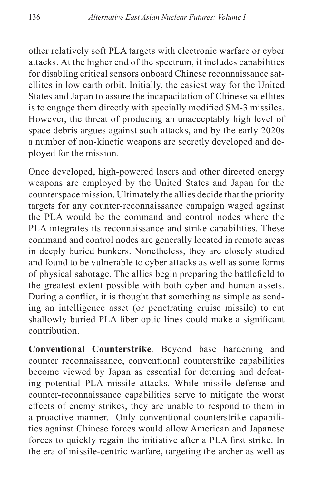other relatively soft PLA targets with electronic warfare or cyber attacks. At the higher end of the spectrum, it includes capabilities for disabling critical sensors onboard Chinese reconnaissance satellites in low earth orbit. Initially, the easiest way for the United States and Japan to assure the incapacitation of Chinese satellites is to engage them directly with specially modified SM-3 missiles. However, the threat of producing an unacceptably high level of space debris argues against such attacks, and by the early 2020s a number of non-kinetic weapons are secretly developed and deployed for the mission.

Once developed, high-powered lasers and other directed energy weapons are employed by the United States and Japan for the counterspace mission. Ultimately the allies decide that the priority targets for any counter-reconnaissance campaign waged against the PLA would be the command and control nodes where the PLA integrates its reconnaissance and strike capabilities. These command and control nodes are generally located in remote areas in deeply buried bunkers. Nonetheless, they are closely studied and found to be vulnerable to cyber attacks as well as some forms of physical sabotage. The allies begin preparing the battlefield to the greatest extent possible with both cyber and human assets. During a conflict, it is thought that something as simple as sending an intelligence asset (or penetrating cruise missile) to cut shallowly buried PLA fiber optic lines could make a significant contribution.

**Conventional Counterstrike***.* Beyond base hardening and counter reconnaissance, conventional counterstrike capabilities become viewed by Japan as essential for deterring and defeating potential PLA missile attacks. While missile defense and counter-reconnaissance capabilities serve to mitigate the worst effects of enemy strikes, they are unable to respond to them in a proactive manner. Only conventional counterstrike capabilities against Chinese forces would allow American and Japanese forces to quickly regain the initiative after a PLA first strike. In the era of missile-centric warfare, targeting the archer as well as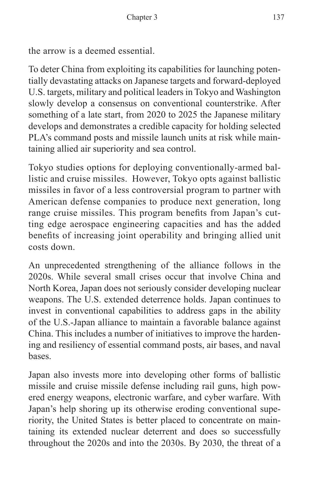the arrow is a deemed essential.

To deter China from exploiting its capabilities for launching potentially devastating attacks on Japanese targets and forward-deployed U.S. targets, military and political leaders in Tokyo and Washington slowly develop a consensus on conventional counterstrike. After something of a late start, from 2020 to 2025 the Japanese military develops and demonstrates a credible capacity for holding selected PLA's command posts and missile launch units at risk while maintaining allied air superiority and sea control.

Tokyo studies options for deploying conventionally-armed ballistic and cruise missiles. However, Tokyo opts against ballistic missiles in favor of a less controversial program to partner with American defense companies to produce next generation, long range cruise missiles. This program benefits from Japan's cutting edge aerospace engineering capacities and has the added benefits of increasing joint operability and bringing allied unit costs down.

An unprecedented strengthening of the alliance follows in the 2020s. While several small crises occur that involve China and North Korea, Japan does not seriously consider developing nuclear weapons. The U.S. extended deterrence holds. Japan continues to invest in conventional capabilities to address gaps in the ability of the U.S.-Japan alliance to maintain a favorable balance against China. This includes a number of initiatives to improve the hardening and resiliency of essential command posts, air bases, and naval bases.

Japan also invests more into developing other forms of ballistic missile and cruise missile defense including rail guns, high powered energy weapons, electronic warfare, and cyber warfare. With Japan's help shoring up its otherwise eroding conventional superiority, the United States is better placed to concentrate on maintaining its extended nuclear deterrent and does so successfully throughout the 2020s and into the 2030s. By 2030, the threat of a